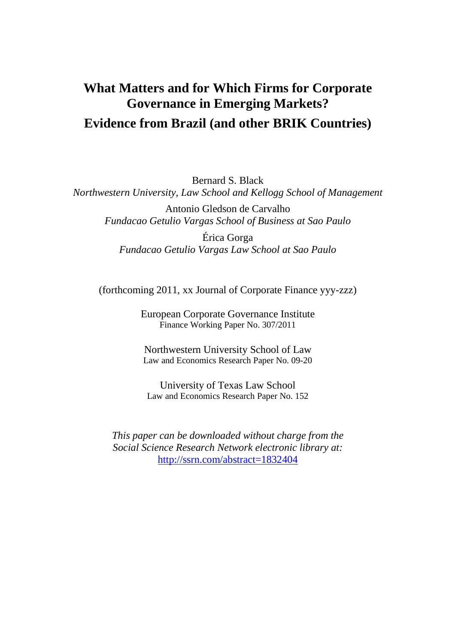# **What Matters and for Which Firms for Corporate Governance in Emerging Markets? Evidence from Brazil (and other BRIK Countries)**

Bernard S. Black

*Northwestern University, Law School and Kellogg School of Management* 

Antonio Gledson de Carvalho *Fundacao Getulio Vargas School of Business at Sao Paulo* 

Érica Gorga *Fundacao Getulio Vargas Law School at Sao Paulo* 

(forthcoming 2011, xx Journal of Corporate Finance yyy-zzz)

European Corporate Governance Institute Finance Working Paper No. 307/2011

Northwestern University School of Law Law and Economics Research Paper No. 09-20

University of Texas Law School Law and Economics Research Paper No. 152

*This paper can be downloaded without charge from the Social Science Research Network electronic library at:* http://ssrn.com/abstract=1832404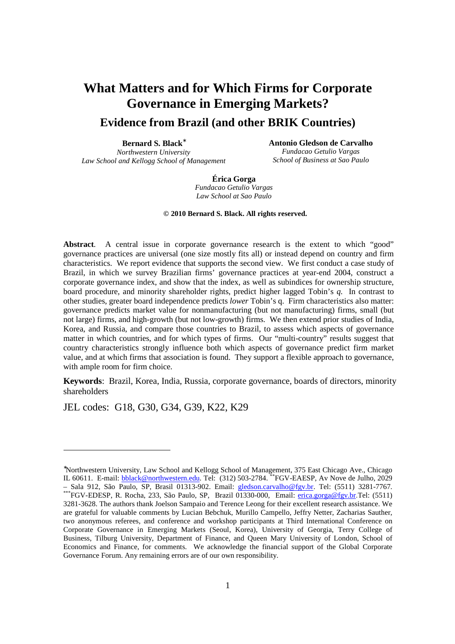# **What Matters and for Which Firms for Corporate Governance in Emerging Markets?**

# **Evidence from Brazil (and other BRIK Countries)**

**Bernard S. Black**<sup>∗</sup>

*Northwestern University Law School and Kellogg School of Management* **Antonio Gledson de Carvalho** *Fundacao Getulio Vargas School of Business at Sao Paulo* 

**Érica Gorga** *Fundacao Getulio Vargas Law School at Sao Paulo*

#### **© 2010 Bernard S. Black. All rights reserved.**

**Abstract**. A central issue in corporate governance research is the extent to which "good" governance practices are universal (one size mostly fits all) or instead depend on country and firm characteristics. We report evidence that supports the second view. We first conduct a case study of Brazil, in which we survey Brazilian firms' governance practices at year-end 2004, construct a corporate governance index, and show that the index, as well as subindices for ownership structure, board procedure, and minority shareholder rights, predict higher lagged Tobin's *q*. In contrast to other studies, greater board independence predicts *lower* Tobin's q. Firm characteristics also matter: governance predicts market value for nonmanufacturing (but not manufacturing) firms, small (but not large) firms, and high-growth (but not low-growth) firms. We then extend prior studies of India, Korea, and Russia, and compare those countries to Brazil, to assess which aspects of governance matter in which countries, and for which types of firms. Our "multi-country" results suggest that country characteristics strongly influence both which aspects of governance predict firm market value, and at which firms that association is found. They support a flexible approach to governance, with ample room for firm choice.

**Keywords**: Brazil, Korea, India, Russia, corporate governance, boards of directors, minority shareholders

JEL codes: G18, G30, G34, G39, K22, K29

<sup>∗</sup>Northwestern University, Law School and Kellogg School of Management, 375 East Chicago Ave., Chicago IL 60611. E-mail: bblack@northwestern.edu. Tel: (312) 503-2784. \*\*FGV-EAESP, Av Nove de Julho, 2029 – Sala 912, São Paulo, SP, Brasil 01313-902. Email: **gledson.carvalho@fgv.br.** Tel: (5511) 3281-7767. \*\*\*FGV-EDESP, R. Rocha, 233, São Paulo, SP, Brazil 01330-000, Email: *erica.gorga@fgv.br*.Tel: (5511) 3281-3628. The authors thank Joelson Sampaio and Terence Leong for their excellent research assistance. We are grateful for valuable comments by Lucian Bebchuk, Murillo Campello, Jeffry Netter, Zacharias Sauther, two anonymous referees, and conference and workshop participants at Third International Conference on Corporate Governance in Emerging Markets (Seoul, Korea), University of Georgia, Terry College of Business, Tilburg University, Department of Finance, and Queen Mary University of London, School of Economics and Finance, for comments. We acknowledge the financial support of the Global Corporate Governance Forum. Any remaining errors are of our own responsibility.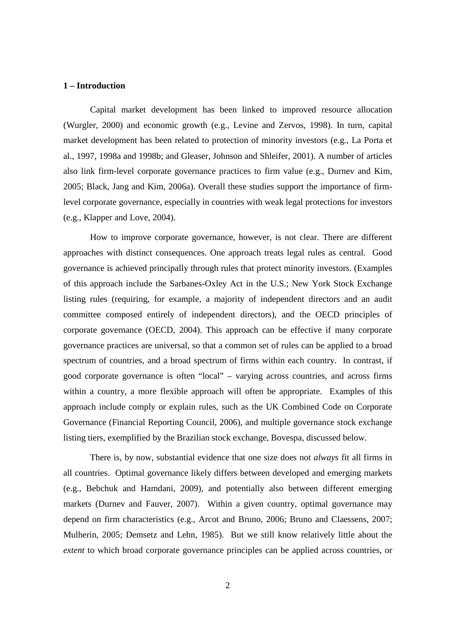#### **1 – Introduction**

Capital market development has been linked to improved resource allocation (Wurgler, 2000) and economic growth (e.g., Levine and Zervos, 1998). In turn, capital market development has been related to protection of minority investors (e.g., La Porta et al., 1997, 1998a and 1998b; and Gleaser, Johnson and Shleifer, 2001). A number of articles also link firm-level corporate governance practices to firm value (e.g., Durnev and Kim, 2005; Black, Jang and Kim, 2006a). Overall these studies support the importance of firmlevel corporate governance, especially in countries with weak legal protections for investors (e.g., Klapper and Love, 2004).

How to improve corporate governance, however, is not clear. There are different approaches with distinct consequences. One approach treats legal rules as central. Good governance is achieved principally through rules that protect minority investors. (Examples of this approach include the Sarbanes-Oxley Act in the U.S.; New York Stock Exchange listing rules (requiring, for example, a majority of independent directors and an audit committee composed entirely of independent directors), and the OECD principles of corporate governance (OECD, 2004). This approach can be effective if many corporate governance practices are universal, so that a common set of rules can be applied to a broad spectrum of countries, and a broad spectrum of firms within each country. In contrast, if good corporate governance is often "local" – varying across countries, and across firms within a country, a more flexible approach will often be appropriate. Examples of this approach include comply or explain rules, such as the UK Combined Code on Corporate Governance (Financial Reporting Council, 2006), and multiple governance stock exchange listing tiers, exemplified by the Brazilian stock exchange, Bovespa, discussed below.

There is, by now, substantial evidence that one size does not *always* fit all firms in all countries. Optimal governance likely differs between developed and emerging markets (e.g., Bebchuk and Hamdani, 2009), and potentially also between different emerging markets (Durnev and Fauver, 2007). Within a given country, optimal governance may depend on firm characteristics (e.g., Arcot and Bruno, 2006; Bruno and Claessens, 2007; Mulherin, 2005; Demsetz and Lehn, 1985). But we still know relatively little about the *extent* to which broad corporate governance principles can be applied across countries, or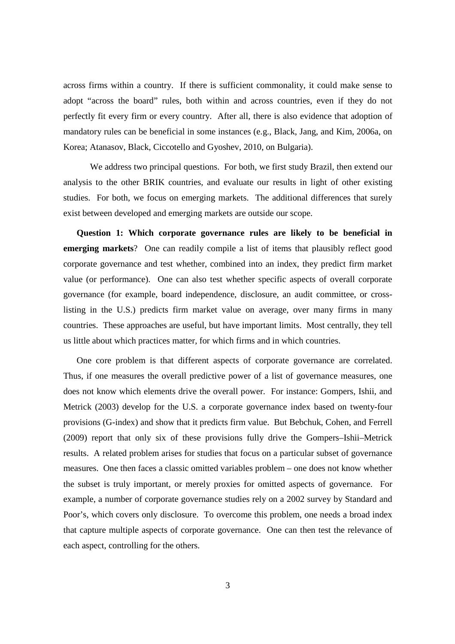across firms within a country. If there is sufficient commonality, it could make sense to adopt "across the board" rules, both within and across countries, even if they do not perfectly fit every firm or every country. After all, there is also evidence that adoption of mandatory rules can be beneficial in some instances (e.g., Black, Jang, and Kim, 2006a, on Korea; Atanasov, Black, Ciccotello and Gyoshev, 2010, on Bulgaria).

We address two principal questions. For both, we first study Brazil, then extend our analysis to the other BRIK countries, and evaluate our results in light of other existing studies. For both, we focus on emerging markets. The additional differences that surely exist between developed and emerging markets are outside our scope.

**Question 1: Which corporate governance rules are likely to be beneficial in emerging markets**? One can readily compile a list of items that plausibly reflect good corporate governance and test whether, combined into an index, they predict firm market value (or performance). One can also test whether specific aspects of overall corporate governance (for example, board independence, disclosure, an audit committee, or crosslisting in the U.S.) predicts firm market value on average, over many firms in many countries. These approaches are useful, but have important limits. Most centrally, they tell us little about which practices matter, for which firms and in which countries.

One core problem is that different aspects of corporate governance are correlated. Thus, if one measures the overall predictive power of a list of governance measures, one does not know which elements drive the overall power. For instance: Gompers, Ishii, and Metrick (2003) develop for the U.S. a corporate governance index based on twenty-four provisions (G-index) and show that it predicts firm value. But Bebchuk, Cohen, and Ferrell (2009) report that only six of these provisions fully drive the Gompers–Ishii–Metrick results. A related problem arises for studies that focus on a particular subset of governance measures. One then faces a classic omitted variables problem – one does not know whether the subset is truly important, or merely proxies for omitted aspects of governance. For example, a number of corporate governance studies rely on a 2002 survey by Standard and Poor's, which covers only disclosure. To overcome this problem, one needs a broad index that capture multiple aspects of corporate governance. One can then test the relevance of each aspect, controlling for the others.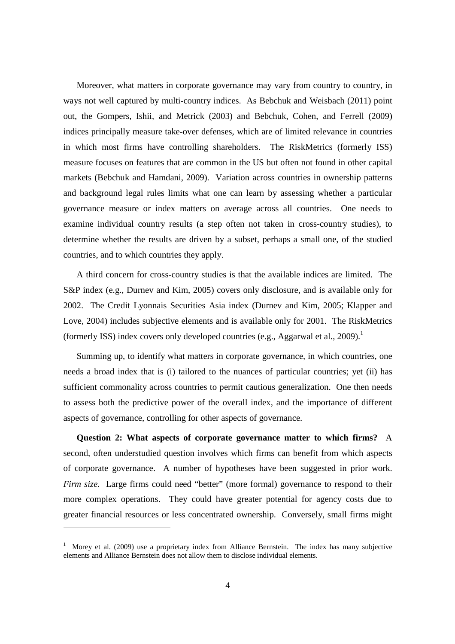Moreover, what matters in corporate governance may vary from country to country, in ways not well captured by multi-country indices. As Bebchuk and Weisbach (2011) point out, the Gompers, Ishii, and Metrick (2003) and Bebchuk, Cohen, and Ferrell (2009) indices principally measure take-over defenses, which are of limited relevance in countries in which most firms have controlling shareholders. The RiskMetrics (formerly ISS) measure focuses on features that are common in the US but often not found in other capital markets (Bebchuk and Hamdani, 2009). Variation across countries in ownership patterns and background legal rules limits what one can learn by assessing whether a particular governance measure or index matters on average across all countries. One needs to examine individual country results (a step often not taken in cross-country studies), to determine whether the results are driven by a subset, perhaps a small one, of the studied countries, and to which countries they apply.

A third concern for cross-country studies is that the available indices are limited. The S&P index (e.g., Durnev and Kim, 2005) covers only disclosure, and is available only for 2002. The Credit Lyonnais Securities Asia index (Durnev and Kim, 2005; Klapper and Love, 2004) includes subjective elements and is available only for 2001. The RiskMetrics (formerly ISS) index covers only developed countries (e.g., Aggarwal et al., 2009).<sup>1</sup>

Summing up, to identify what matters in corporate governance, in which countries, one needs a broad index that is (i) tailored to the nuances of particular countries; yet (ii) has sufficient commonality across countries to permit cautious generalization. One then needs to assess both the predictive power of the overall index, and the importance of different aspects of governance, controlling for other aspects of governance.

**Question 2: What aspects of corporate governance matter to which firms?** A second, often understudied question involves which firms can benefit from which aspects of corporate governance. A number of hypotheses have been suggested in prior work. *Firm size.* Large firms could need "better" (more formal) governance to respond to their more complex operations. They could have greater potential for agency costs due to greater financial resources or less concentrated ownership. Conversely, small firms might

<sup>1</sup> Morey et al. (2009) use a proprietary index from Alliance Bernstein. The index has many subjective elements and Alliance Bernstein does not allow them to disclose individual elements.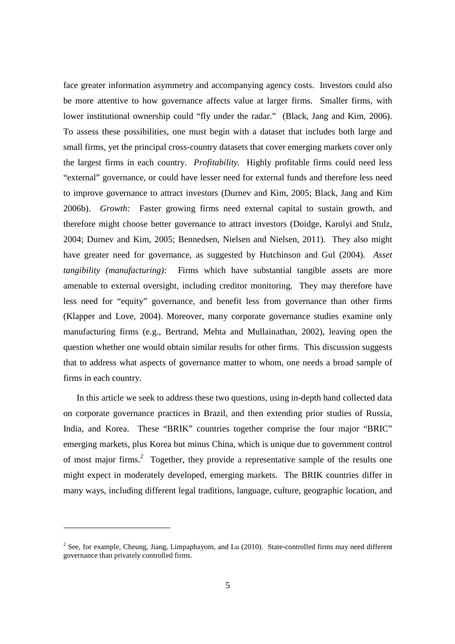face greater information asymmetry and accompanying agency costs. Investors could also be more attentive to how governance affects value at larger firms. Smaller firms, with lower institutional ownership could "fly under the radar." (Black, Jang and Kim, 2006). To assess these possibilities, one must begin with a dataset that includes both large and small firms, yet the principal cross-country datasets that cover emerging markets cover only the largest firms in each country. *Profitability.* Highly profitable firms could need less "external" governance, or could have lesser need for external funds and therefore less need to improve governance to attract investors (Durnev and Kim, 2005; Black, Jang and Kim 2006b). *Growth:* Faster growing firms need external capital to sustain growth, and therefore might choose better governance to attract investors (Doidge, Karolyi and Stulz, 2004; Durnev and Kim, 2005; Bennedsen, Nielsen and Nielsen, 2011). They also might have greater need for governance, as suggested by Hutchinson and Gul (2004). *Asset tangibility (manufacturing):* Firms which have substantial tangible assets are more amenable to external oversight, including creditor monitoring. They may therefore have less need for "equity" governance, and benefit less from governance than other firms (Klapper and Love, 2004). Moreover, many corporate governance studies examine only manufacturing firms (e.g., Bertrand, Mehta and Mullainathan, 2002), leaving open the question whether one would obtain similar results for other firms. This discussion suggests that to address what aspects of governance matter to whom, one needs a broad sample of firms in each country.

In this article we seek to address these two questions, using in-depth hand collected data on corporate governance practices in Brazil, and then extending prior studies of Russia, India, and Korea. These "BRIK" countries together comprise the four major "BRIC" emerging markets, plus Korea but minus China, which is unique due to government control of most major firms.<sup>2</sup> Together, they provide a representative sample of the results one might expect in moderately developed, emerging markets. The BRIK countries differ in many ways, including different legal traditions, language, culture, geographic location, and

 $2^2$  See, for example, Cheung, Jiang, Limpaphayom, and Lu (2010). State-controlled firms may need different governance than privately controlled firms.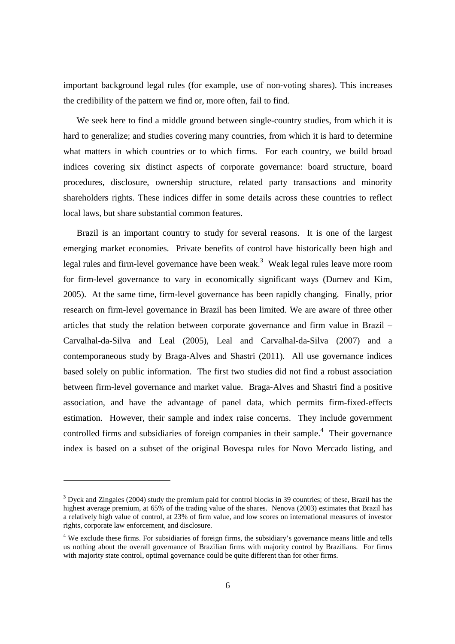important background legal rules (for example, use of non-voting shares). This increases the credibility of the pattern we find or, more often, fail to find.

We seek here to find a middle ground between single-country studies, from which it is hard to generalize; and studies covering many countries, from which it is hard to determine what matters in which countries or to which firms. For each country, we build broad indices covering six distinct aspects of corporate governance: board structure, board procedures, disclosure, ownership structure, related party transactions and minority shareholders rights. These indices differ in some details across these countries to reflect local laws, but share substantial common features.

Brazil is an important country to study for several reasons. It is one of the largest emerging market economies. Private benefits of control have historically been high and legal rules and firm-level governance have been weak.<sup>3</sup> Weak legal rules leave more room for firm-level governance to vary in economically significant ways (Durnev and Kim, 2005). At the same time, firm-level governance has been rapidly changing. Finally, prior research on firm-level governance in Brazil has been limited. We are aware of three other articles that study the relation between corporate governance and firm value in Brazil – Carvalhal-da-Silva and Leal (2005), Leal and Carvalhal-da-Silva (2007) and a contemporaneous study by Braga-Alves and Shastri (2011). All use governance indices based solely on public information. The first two studies did not find a robust association between firm-level governance and market value. Braga-Alves and Shastri find a positive association, and have the advantage of panel data, which permits firm-fixed-effects estimation. However, their sample and index raise concerns. They include government controlled firms and subsidiaries of foreign companies in their sample.<sup>4</sup> Their governance index is based on a subset of the original Bovespa rules for Novo Mercado listing, and

<sup>&</sup>lt;sup>3</sup> Dyck and Zingales (2004) study the premium paid for control blocks in 39 countries; of these, Brazil has the highest average premium, at 65% of the trading value of the shares. Nenova (2003) estimates that Brazil has a relatively high value of control, at 23% of firm value, and low scores on international measures of investor rights, corporate law enforcement, and disclosure.

<sup>&</sup>lt;sup>4</sup> We exclude these firms. For subsidiaries of foreign firms, the subsidiary's governance means little and tells us nothing about the overall governance of Brazilian firms with majority control by Brazilians. For firms with majority state control, optimal governance could be quite different than for other firms.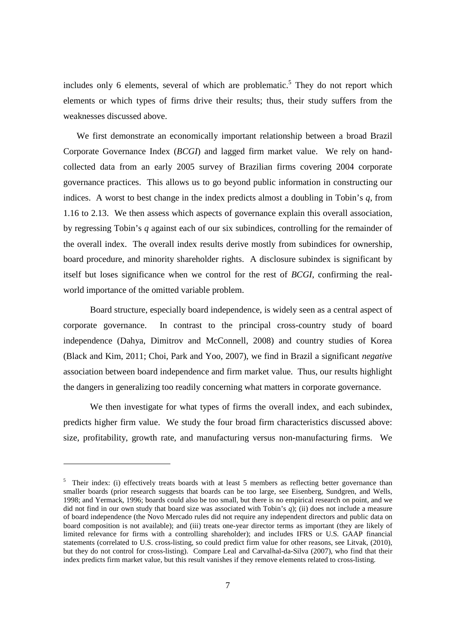includes only 6 elements, several of which are problematic.<sup>5</sup> They do not report which elements or which types of firms drive their results; thus, their study suffers from the weaknesses discussed above.

We first demonstrate an economically important relationship between a broad Brazil Corporate Governance Index (*BCGI*) and lagged firm market value. We rely on handcollected data from an early 2005 survey of Brazilian firms covering 2004 corporate governance practices. This allows us to go beyond public information in constructing our indices. A worst to best change in the index predicts almost a doubling in Tobin's *q*, from 1.16 to 2.13. We then assess which aspects of governance explain this overall association, by regressing Tobin's *q* against each of our six subindices, controlling for the remainder of the overall index. The overall index results derive mostly from subindices for ownership, board procedure, and minority shareholder rights. A disclosure subindex is significant by itself but loses significance when we control for the rest of *BCGI*, confirming the realworld importance of the omitted variable problem.

Board structure, especially board independence, is widely seen as a central aspect of corporate governance. In contrast to the principal cross-country study of board independence (Dahya, Dimitrov and McConnell, 2008) and country studies of Korea (Black and Kim, 2011; Choi, Park and Yoo, 2007), we find in Brazil a significant *negative*  association between board independence and firm market value. Thus, our results highlight the dangers in generalizing too readily concerning what matters in corporate governance.

We then investigate for what types of firms the overall index, and each subindex, predicts higher firm value. We study the four broad firm characteristics discussed above: size, profitability, growth rate, and manufacturing versus non-manufacturing firms. We

<u>.</u>

<sup>&</sup>lt;sup>5</sup> Their index: (i) effectively treats boards with at least 5 members as reflecting better governance than smaller boards (prior research suggests that boards can be too large, see Eisenberg, Sundgren, and Wells, 1998; and Yermack, 1996; boards could also be too small, but there is no empirical research on point, and we did not find in our own study that board size was associated with Tobin's *q*); (ii) does not include a measure of board independence (the Novo Mercado rules did not require any independent directors and public data on board composition is not available); and (iii) treats one-year director terms as important (they are likely of limited relevance for firms with a controlling shareholder); and includes IFRS or U.S. GAAP financial statements (correlated to U.S. cross-listing, so could predict firm value for other reasons, see Litvak, (2010), but they do not control for cross-listing). Compare Leal and Carvalhal-da-Silva (2007), who find that their index predicts firm market value, but this result vanishes if they remove elements related to cross-listing.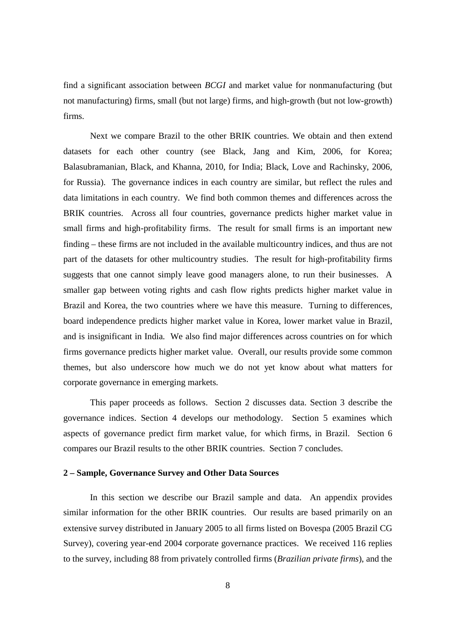find a significant association between *BCGI* and market value for nonmanufacturing (but not manufacturing) firms, small (but not large) firms, and high-growth (but not low-growth) firms.

Next we compare Brazil to the other BRIK countries. We obtain and then extend datasets for each other country (see Black, Jang and Kim, 2006, for Korea; Balasubramanian, Black, and Khanna, 2010, for India; Black, Love and Rachinsky, 2006, for Russia). The governance indices in each country are similar, but reflect the rules and data limitations in each country. We find both common themes and differences across the BRIK countries. Across all four countries, governance predicts higher market value in small firms and high-profitability firms. The result for small firms is an important new finding – these firms are not included in the available multicountry indices, and thus are not part of the datasets for other multicountry studies. The result for high-profitability firms suggests that one cannot simply leave good managers alone, to run their businesses. A smaller gap between voting rights and cash flow rights predicts higher market value in Brazil and Korea, the two countries where we have this measure. Turning to differences, board independence predicts higher market value in Korea, lower market value in Brazil, and is insignificant in India. We also find major differences across countries on for which firms governance predicts higher market value. Overall, our results provide some common themes, but also underscore how much we do not yet know about what matters for corporate governance in emerging markets.

This paper proceeds as follows. Section 2 discusses data. Section 3 describe the governance indices. Section 4 develops our methodology. Section 5 examines which aspects of governance predict firm market value, for which firms, in Brazil. Section 6 compares our Brazil results to the other BRIK countries. Section 7 concludes.

# **2 – Sample, Governance Survey and Other Data Sources**

In this section we describe our Brazil sample and data. An appendix provides similar information for the other BRIK countries. Our results are based primarily on an extensive survey distributed in January 2005 to all firms listed on Bovespa (2005 Brazil CG Survey), covering year-end 2004 corporate governance practices. We received 116 replies to the survey, including 88 from privately controlled firms (*Brazilian private firms*), and the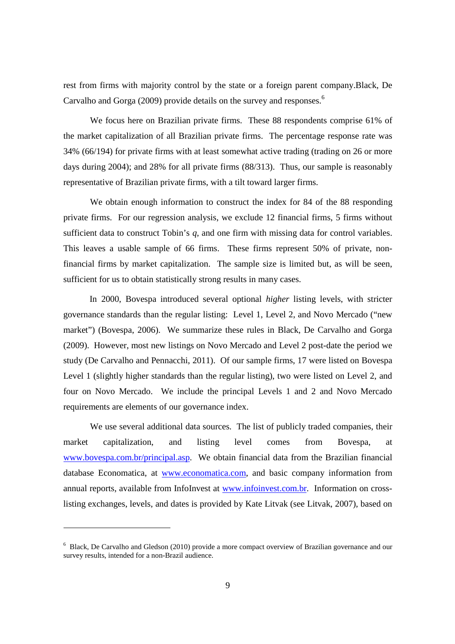rest from firms with majority control by the state or a foreign parent company.Black, De Carvalho and Gorga (2009) provide details on the survey and responses.<sup>6</sup>

We focus here on Brazilian private firms. These 88 respondents comprise 61% of the market capitalization of all Brazilian private firms. The percentage response rate was 34% (66/194) for private firms with at least somewhat active trading (trading on 26 or more days during 2004); and 28% for all private firms (88/313). Thus, our sample is reasonably representative of Brazilian private firms, with a tilt toward larger firms.

We obtain enough information to construct the index for 84 of the 88 responding private firms. For our regression analysis, we exclude 12 financial firms, 5 firms without sufficient data to construct Tobin's *q*, and one firm with missing data for control variables. This leaves a usable sample of 66 firms. These firms represent 50% of private, nonfinancial firms by market capitalization. The sample size is limited but, as will be seen, sufficient for us to obtain statistically strong results in many cases.

In 2000, Bovespa introduced several optional *higher* listing levels, with stricter governance standards than the regular listing: Level 1, Level 2, and Novo Mercado ("new market") (Bovespa, 2006). We summarize these rules in Black, De Carvalho and Gorga (2009). However, most new listings on Novo Mercado and Level 2 post-date the period we study (De Carvalho and Pennacchi, 2011). Of our sample firms, 17 were listed on Bovespa Level 1 (slightly higher standards than the regular listing), two were listed on Level 2, and four on Novo Mercado. We include the principal Levels 1 and 2 and Novo Mercado requirements are elements of our governance index.

We use several additional data sources. The list of publicly traded companies, their market capitalization, and listing level comes from Bovespa, at www.bovespa.com.br/principal.asp. We obtain financial data from the Brazilian financial database Economatica, at www.economatica.com, and basic company information from annual reports, available from InfoInvest at www.infoinvest.com.br. Information on crosslisting exchanges, levels, and dates is provided by Kate Litvak (see Litvak, 2007), based on

<sup>&</sup>lt;sup>6</sup> Black, De Carvalho and Gledson (2010) provide a more compact overview of Brazilian governance and our survey results, intended for a non-Brazil audience.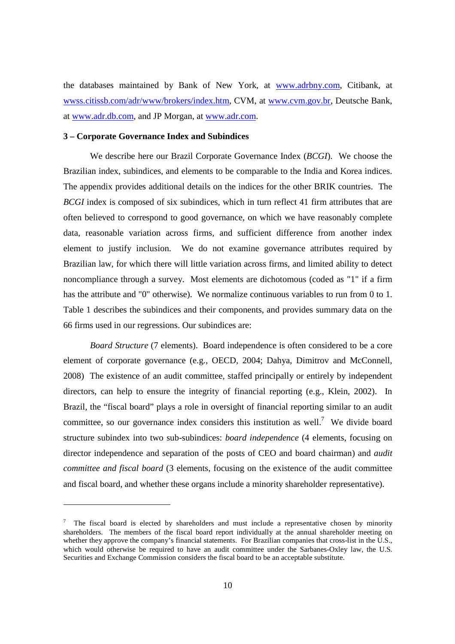the databases maintained by Bank of New York, at www.adrbny.com, Citibank, at wwss.citissb.com/adr/www/brokers/index.htm, CVM, at www.cvm.gov.br, Deutsche Bank, at www.adr.db.com, and JP Morgan, at www.adr.com.

### **3 – Corporate Governance Index and Subindices**

-

We describe here our Brazil Corporate Governance Index (*BCGI*). We choose the Brazilian index, subindices, and elements to be comparable to the India and Korea indices. The appendix provides additional details on the indices for the other BRIK countries. The *BCGI* index is composed of six subindices, which in turn reflect 41 firm attributes that are often believed to correspond to good governance, on which we have reasonably complete data, reasonable variation across firms, and sufficient difference from another index element to justify inclusion. We do not examine governance attributes required by Brazilian law, for which there will little variation across firms, and limited ability to detect noncompliance through a survey. Most elements are dichotomous (coded as "1" if a firm has the attribute and "0" otherwise). We normalize continuous variables to run from 0 to 1. Table 1 describes the subindices and their components, and provides summary data on the 66 firms used in our regressions. Our subindices are:

*Board Structure* (7 elements). Board independence is often considered to be a core element of corporate governance (e.g., OECD, 2004; Dahya, Dimitrov and McConnell, 2008) The existence of an audit committee, staffed principally or entirely by independent directors, can help to ensure the integrity of financial reporting (e.g., Klein, 2002). In Brazil, the "fiscal board" plays a role in oversight of financial reporting similar to an audit committee, so our governance index considers this institution as well.<sup>7</sup> We divide board structure subindex into two sub-subindices: *board independence* (4 elements, focusing on director independence and separation of the posts of CEO and board chairman) and *audit committee and fiscal board* (3 elements, focusing on the existence of the audit committee and fiscal board, and whether these organs include a minority shareholder representative).

<sup>&</sup>lt;sup>7</sup> The fiscal board is elected by shareholders and must include a representative chosen by minority shareholders. The members of the fiscal board report individually at the annual shareholder meeting on whether they approve the company's financial statements. For Brazilian companies that cross-list in the U.S., which would otherwise be required to have an audit committee under the Sarbanes-Oxley law, the U.S. Securities and Exchange Commission considers the fiscal board to be an acceptable substitute.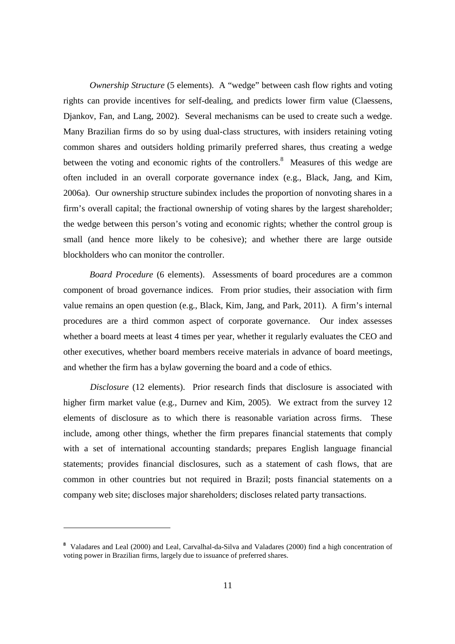*Ownership Structure* (5 elements). A "wedge" between cash flow rights and voting rights can provide incentives for self-dealing, and predicts lower firm value (Claessens, Djankov, Fan, and Lang, 2002). Several mechanisms can be used to create such a wedge. Many Brazilian firms do so by using dual-class structures, with insiders retaining voting common shares and outsiders holding primarily preferred shares, thus creating a wedge between the voting and economic rights of the controllers.<sup>8</sup> Measures of this wedge are often included in an overall corporate governance index (e.g., Black, Jang, and Kim, 2006a). Our ownership structure subindex includes the proportion of nonvoting shares in a firm's overall capital; the fractional ownership of voting shares by the largest shareholder; the wedge between this person's voting and economic rights; whether the control group is small (and hence more likely to be cohesive); and whether there are large outside blockholders who can monitor the controller.

*Board Procedure* (6 elements). Assessments of board procedures are a common component of broad governance indices. From prior studies, their association with firm value remains an open question (e.g., Black, Kim, Jang, and Park, 2011). A firm's internal procedures are a third common aspect of corporate governance. Our index assesses whether a board meets at least 4 times per year, whether it regularly evaluates the CEO and other executives, whether board members receive materials in advance of board meetings, and whether the firm has a bylaw governing the board and a code of ethics.

*Disclosure* (12 elements). Prior research finds that disclosure is associated with higher firm market value (e.g., Durnev and Kim, 2005). We extract from the survey 12 elements of disclosure as to which there is reasonable variation across firms. These include, among other things, whether the firm prepares financial statements that comply with a set of international accounting standards; prepares English language financial statements; provides financial disclosures, such as a statement of cash flows, that are common in other countries but not required in Brazil; posts financial statements on a company web site; discloses major shareholders; discloses related party transactions.

**<sup>8</sup>** Valadares and Leal (2000) and Leal, Carvalhal-da-Silva and Valadares (2000) find a high concentration of voting power in Brazilian firms, largely due to issuance of preferred shares.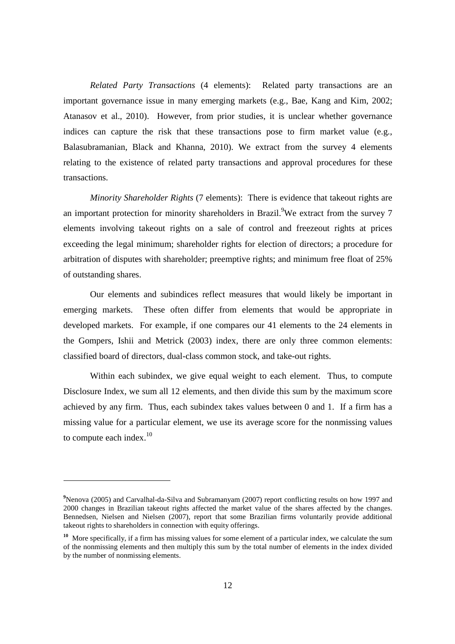*Related Party Transactions* (4 elements): Related party transactions are an important governance issue in many emerging markets (e.g., Bae, Kang and Kim, 2002; Atanasov et al., 2010). However, from prior studies, it is unclear whether governance indices can capture the risk that these transactions pose to firm market value (e.g., Balasubramanian, Black and Khanna, 2010). We extract from the survey 4 elements relating to the existence of related party transactions and approval procedures for these transactions.

*Minority Shareholder Rights* (7 elements): There is evidence that takeout rights are an important protection for minority shareholders in Brazil.<sup>9</sup>We extract from the survey 7 elements involving takeout rights on a sale of control and freezeout rights at prices exceeding the legal minimum; shareholder rights for election of directors; a procedure for arbitration of disputes with shareholder; preemptive rights; and minimum free float of 25% of outstanding shares.

Our elements and subindices reflect measures that would likely be important in emerging markets. These often differ from elements that would be appropriate in developed markets. For example, if one compares our 41 elements to the 24 elements in the Gompers, Ishii and Metrick (2003) index, there are only three common elements: classified board of directors, dual-class common stock, and take-out rights.

Within each subindex, we give equal weight to each element. Thus, to compute Disclosure Index, we sum all 12 elements, and then divide this sum by the maximum score achieved by any firm. Thus, each subindex takes values between 0 and 1. If a firm has a missing value for a particular element, we use its average score for the nonmissing values to compute each index. $10$ 

<sup>&</sup>lt;sup>9</sup>Nenova (2005) and Carvalhal-da-Silva and Subramanyam (2007) report conflicting results on how 1997 and 2000 changes in Brazilian takeout rights affected the market value of the shares affected by the changes. Bennedsen, Nielsen and Nielsen (2007), report that some Brazilian firms voluntarily provide additional takeout rights to shareholders in connection with equity offerings.

<sup>&</sup>lt;sup>10</sup> More specifically, if a firm has missing values for some element of a particular index, we calculate the sum of the nonmissing elements and then multiply this sum by the total number of elements in the index divided by the number of nonmissing elements.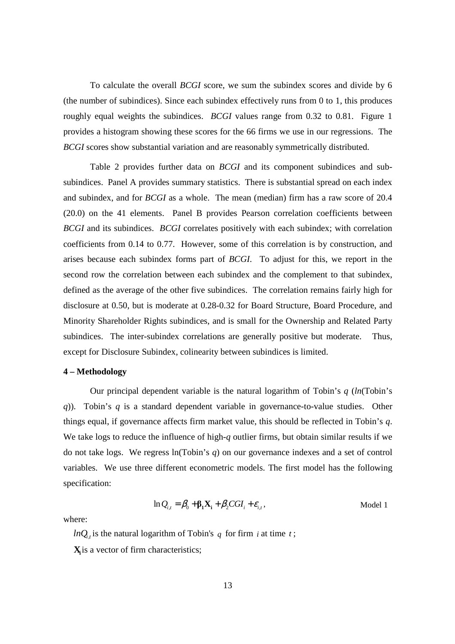To calculate the overall *BCGI* score, we sum the subindex scores and divide by 6 (the number of subindices). Since each subindex effectively runs from 0 to 1, this produces roughly equal weights the subindices. *BCGI* values range from 0.32 to 0.81. Figure 1 provides a histogram showing these scores for the 66 firms we use in our regressions. The *BCGI* scores show substantial variation and are reasonably symmetrically distributed.

Table 2 provides further data on *BCGI* and its component subindices and subsubindices. Panel A provides summary statistics. There is substantial spread on each index and subindex, and for *BCGI* as a whole. The mean (median) firm has a raw score of 20.4 (20.0) on the 41 elements. Panel B provides Pearson correlation coefficients between *BCGI* and its subindices. *BCGI* correlates positively with each subindex; with correlation coefficients from 0.14 to 0.77. However, some of this correlation is by construction, and arises because each subindex forms part of *BCGI*. To adjust for this, we report in the second row the correlation between each subindex and the complement to that subindex, defined as the average of the other five subindices. The correlation remains fairly high for disclosure at 0.50, but is moderate at 0.28-0.32 for Board Structure, Board Procedure, and Minority Shareholder Rights subindices, and is small for the Ownership and Related Party subindices. The inter-subindex correlations are generally positive but moderate. Thus, except for Disclosure Subindex, colinearity between subindices is limited.

#### **4 – Methodology**

Our principal dependent variable is the natural logarithm of Tobin's *q* (*ln*(Tobin's *q*)). Tobin's *q* is a standard dependent variable in governance-to-value studies. Other things equal, if governance affects firm market value, this should be reflected in Tobin's *q*. We take logs to reduce the influence of high-*q* outlier firms, but obtain similar results if we do not take logs. We regress ln(Tobin's *q*) on our governance indexes and a set of control variables. We use three different econometric models. The first model has the following specification:

$$
\ln Q_{i,t} = \beta_0 + \beta_1 \mathbf{X}_i + \beta_2 C G I_i + \varepsilon_{i,t},
$$
 Model 1

where:

 $lnQ_{i,t}$  is the natural logarithm of Tobin's *q* for firm *i* at time *t* ;

**Xi** is a vector of firm characteristics;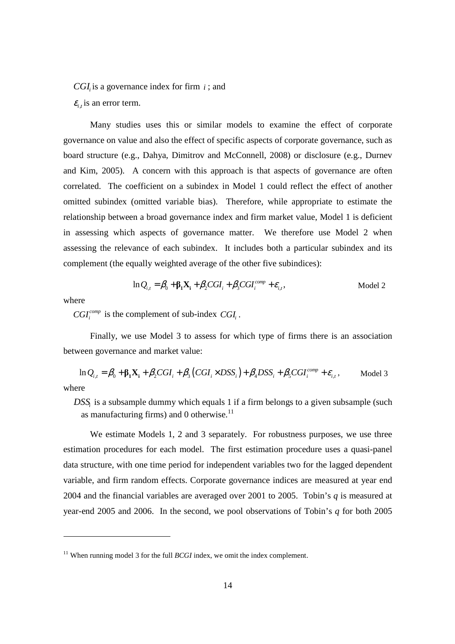$CGI<sub>i</sub>$  is a governance index for firm  $i$ ; and

 $\mathcal{E}_{i,t}$  is an error term.

Many studies uses this or similar models to examine the effect of corporate governance on value and also the effect of specific aspects of corporate governance, such as board structure (e.g., Dahya, Dimitrov and McConnell, 2008) or disclosure (e.g., Durnev and Kim, 2005). A concern with this approach is that aspects of governance are often correlated. The coefficient on a subindex in Model 1 could reflect the effect of another omitted subindex (omitted variable bias). Therefore, while appropriate to estimate the relationship between a broad governance index and firm market value, Model 1 is deficient in assessing which aspects of governance matter. We therefore use Model 2 when assessing the relevance of each subindex. It includes both a particular subindex and its complement (the equally weighted average of the other five subindices):

$$
\ln Q_{i,t} = \beta_0 + \beta_1 \mathbf{X}_i + \beta_2 CGI_i + \beta_3 CGI_i^{comp} + \varepsilon_{i,t},
$$
 Model 2

where

-

 $CGI_i^{comp}$  is the complement of sub-index  $CGI_i$ .

Finally, we use Model 3 to assess for which type of firms there is an association between governance and market value:

 $\ln Q_{i,t} = \beta_0 + \beta_1 \mathbf{X_i} + \beta_2 CGI_i + \beta_3 (CGI_i \times DSS_i) + \beta_4 DSS_i + \beta_5 CGI_i^{comp} + \varepsilon_{i,t}$ , Model 3 where

*DSS<sup>i</sup>* is a subsample dummy which equals 1 if a firm belongs to a given subsample (such as manufacturing firms) and 0 otherwise.<sup>11</sup>

We estimate Models 1, 2 and 3 separately. For robustness purposes, we use three estimation procedures for each model. The first estimation procedure uses a quasi-panel data structure, with one time period for independent variables two for the lagged dependent variable, and firm random effects. Corporate governance indices are measured at year end 2004 and the financial variables are averaged over 2001 to 2005. Tobin's *q* is measured at year-end 2005 and 2006. In the second, we pool observations of Tobin's *q* for both 2005

<sup>&</sup>lt;sup>11</sup> When running model 3 for the full *BCGI* index, we omit the index complement.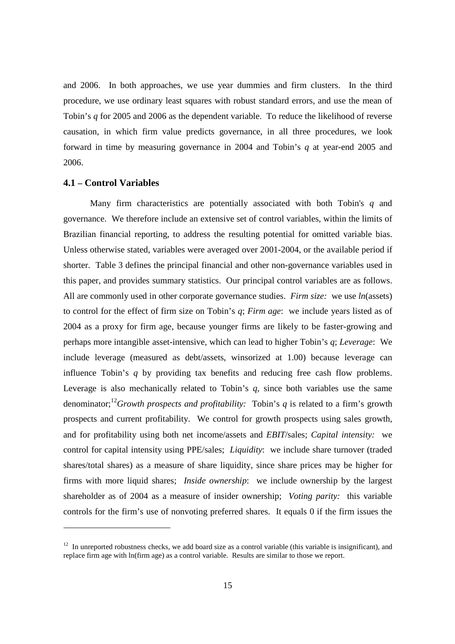and 2006. In both approaches, we use year dummies and firm clusters. In the third procedure, we use ordinary least squares with robust standard errors, and use the mean of Tobin's *q* for 2005 and 2006 as the dependent variable. To reduce the likelihood of reverse causation, in which firm value predicts governance, in all three procedures, we look forward in time by measuring governance in 2004 and Tobin's *q* at year-end 2005 and 2006.

## **4.1 – Control Variables**

-

Many firm characteristics are potentially associated with both Tobin's *q* and governance. We therefore include an extensive set of control variables, within the limits of Brazilian financial reporting, to address the resulting potential for omitted variable bias. Unless otherwise stated, variables were averaged over 2001-2004, or the available period if shorter. Table 3 defines the principal financial and other non-governance variables used in this paper, and provides summary statistics. Our principal control variables are as follows. All are commonly used in other corporate governance studies. *Firm size:* we use *ln*(assets) to control for the effect of firm size on Tobin's *q*; *Firm age*: we include years listed as of 2004 as a proxy for firm age, because younger firms are likely to be faster-growing and perhaps more intangible asset-intensive, which can lead to higher Tobin's *q*; *Leverage*: We include leverage (measured as debt/assets, winsorized at 1.00) because leverage can influence Tobin's *q* by providing tax benefits and reducing free cash flow problems. Leverage is also mechanically related to Tobin's *q*, since both variables use the same denominator;<sup>12</sup>*Growth prospects and profitability:* Tobin's *q* is related to a firm's growth prospects and current profitability. We control for growth prospects using sales growth, and for profitability using both net income/assets and *EBIT*/sales; *Capital intensity:* we control for capital intensity using PPE/sales; *Liquidity*: we include share turnover (traded shares/total shares) as a measure of share liquidity, since share prices may be higher for firms with more liquid shares; *Inside ownership*: we include ownership by the largest shareholder as of 2004 as a measure of insider ownership; *Voting parity:* this variable controls for the firm's use of nonvoting preferred shares. It equals 0 if the firm issues the

 $12$  In unreported robustness checks, we add board size as a control variable (this variable is insignificant), and replace firm age with ln(firm age) as a control variable. Results are similar to those we report.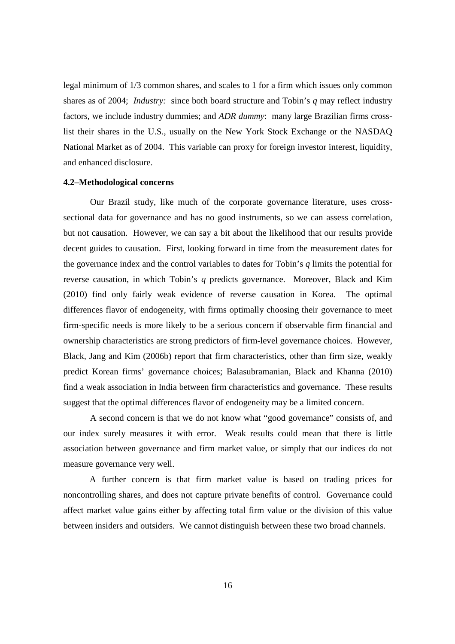legal minimum of 1/3 common shares, and scales to 1 for a firm which issues only common shares as of 2004; *Industry:* since both board structure and Tobin's *q* may reflect industry factors, we include industry dummies; and *ADR dummy*: many large Brazilian firms crosslist their shares in the U.S., usually on the New York Stock Exchange or the NASDAQ National Market as of 2004. This variable can proxy for foreign investor interest, liquidity, and enhanced disclosure.

#### **4.2–Methodological concerns**

Our Brazil study, like much of the corporate governance literature, uses crosssectional data for governance and has no good instruments, so we can assess correlation, but not causation. However, we can say a bit about the likelihood that our results provide decent guides to causation. First, looking forward in time from the measurement dates for the governance index and the control variables to dates for Tobin's *q* limits the potential for reverse causation, in which Tobin's *q* predicts governance. Moreover, Black and Kim (2010) find only fairly weak evidence of reverse causation in Korea. The optimal differences flavor of endogeneity, with firms optimally choosing their governance to meet firm-specific needs is more likely to be a serious concern if observable firm financial and ownership characteristics are strong predictors of firm-level governance choices. However, Black, Jang and Kim (2006b) report that firm characteristics, other than firm size, weakly predict Korean firms' governance choices; Balasubramanian, Black and Khanna (2010) find a weak association in India between firm characteristics and governance. These results suggest that the optimal differences flavor of endogeneity may be a limited concern.

A second concern is that we do not know what "good governance" consists of, and our index surely measures it with error. Weak results could mean that there is little association between governance and firm market value, or simply that our indices do not measure governance very well.

A further concern is that firm market value is based on trading prices for noncontrolling shares, and does not capture private benefits of control. Governance could affect market value gains either by affecting total firm value or the division of this value between insiders and outsiders. We cannot distinguish between these two broad channels.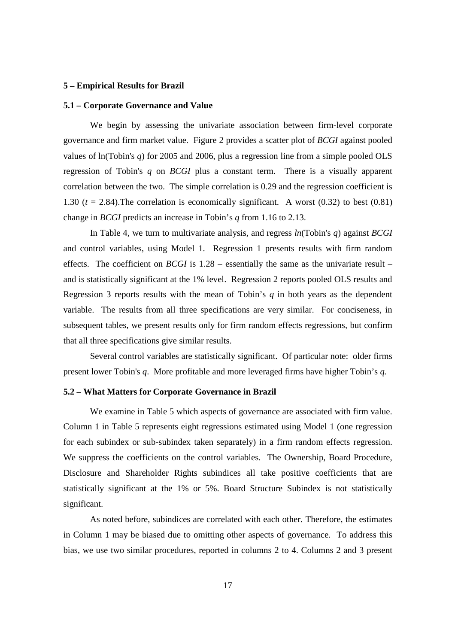#### **5 – Empirical Results for Brazil**

#### **5.1 – Corporate Governance and Value**

We begin by assessing the univariate association between firm-level corporate governance and firm market value. Figure 2 provides a scatter plot of *BCGI* against pooled values of ln(Tobin's *q*) for 2005 and 2006, plus a regression line from a simple pooled OLS regression of Tobin's *q* on *BCGI* plus a constant term. There is a visually apparent correlation between the two. The simple correlation is 0.29 and the regression coefficient is 1.30 ( $t = 2.84$ ). The correlation is economically significant. A worst (0.32) to best (0.81) change in *BCGI* predicts an increase in Tobin's *q* from 1.16 to 2.13.

In Table 4, we turn to multivariate analysis, and regress *ln*(Tobin's *q*) against *BCGI* and control variables, using Model 1. Regression 1 presents results with firm random effects. The coefficient on *BCGI* is 1.28 – essentially the same as the univariate result – and is statistically significant at the 1% level. Regression 2 reports pooled OLS results and Regression 3 reports results with the mean of Tobin's *q* in both years as the dependent variable. The results from all three specifications are very similar. For conciseness, in subsequent tables, we present results only for firm random effects regressions, but confirm that all three specifications give similar results.

Several control variables are statistically significant. Of particular note: older firms present lower Tobin's *q*. More profitable and more leveraged firms have higher Tobin's *q.* 

# **5.2 – What Matters for Corporate Governance in Brazil**

We examine in Table 5 which aspects of governance are associated with firm value. Column 1 in Table 5 represents eight regressions estimated using Model 1 (one regression for each subindex or sub-subindex taken separately) in a firm random effects regression. We suppress the coefficients on the control variables. The Ownership, Board Procedure, Disclosure and Shareholder Rights subindices all take positive coefficients that are statistically significant at the 1% or 5%. Board Structure Subindex is not statistically significant.

As noted before, subindices are correlated with each other. Therefore, the estimates in Column 1 may be biased due to omitting other aspects of governance. To address this bias, we use two similar procedures, reported in columns 2 to 4. Columns 2 and 3 present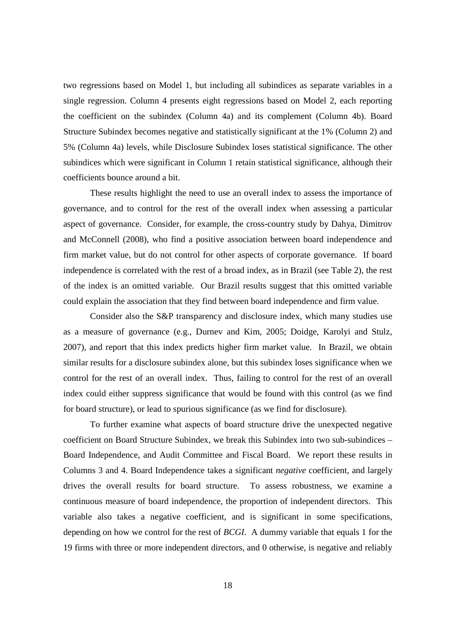two regressions based on Model 1, but including all subindices as separate variables in a single regression. Column 4 presents eight regressions based on Model 2, each reporting the coefficient on the subindex (Column 4a) and its complement (Column 4b). Board Structure Subindex becomes negative and statistically significant at the 1% (Column 2) and 5% (Column 4a) levels, while Disclosure Subindex loses statistical significance. The other subindices which were significant in Column 1 retain statistical significance, although their coefficients bounce around a bit.

These results highlight the need to use an overall index to assess the importance of governance, and to control for the rest of the overall index when assessing a particular aspect of governance. Consider, for example, the cross-country study by Dahya, Dimitrov and McConnell (2008), who find a positive association between board independence and firm market value, but do not control for other aspects of corporate governance. If board independence is correlated with the rest of a broad index, as in Brazil (see Table 2), the rest of the index is an omitted variable. Our Brazil results suggest that this omitted variable could explain the association that they find between board independence and firm value.

Consider also the S&P transparency and disclosure index, which many studies use as a measure of governance (e.g., Durnev and Kim, 2005; Doidge, Karolyi and Stulz, 2007), and report that this index predicts higher firm market value. In Brazil, we obtain similar results for a disclosure subindex alone, but this subindex loses significance when we control for the rest of an overall index. Thus, failing to control for the rest of an overall index could either suppress significance that would be found with this control (as we find for board structure), or lead to spurious significance (as we find for disclosure).

To further examine what aspects of board structure drive the unexpected negative coefficient on Board Structure Subindex, we break this Subindex into two sub-subindices – Board Independence, and Audit Committee and Fiscal Board. We report these results in Columns 3 and 4. Board Independence takes a significant *negative* coefficient, and largely drives the overall results for board structure. To assess robustness, we examine a continuous measure of board independence, the proportion of independent directors. This variable also takes a negative coefficient, and is significant in some specifications, depending on how we control for the rest of *BCGI*. A dummy variable that equals 1 for the 19 firms with three or more independent directors, and 0 otherwise, is negative and reliably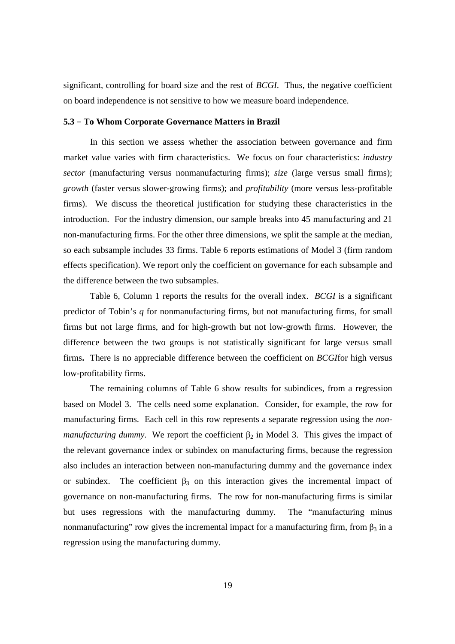significant, controlling for board size and the rest of *BCGI*. Thus, the negative coefficient on board independence is not sensitive to how we measure board independence.

# **5.3** – **To Whom Corporate Governance Matters in Brazil**

In this section we assess whether the association between governance and firm market value varies with firm characteristics. We focus on four characteristics: *industry sector* (manufacturing versus nonmanufacturing firms); *size* (large versus small firms); *growth* (faster versus slower-growing firms); and *profitability* (more versus less-profitable firms). We discuss the theoretical justification for studying these characteristics in the introduction. For the industry dimension, our sample breaks into 45 manufacturing and 21 non-manufacturing firms. For the other three dimensions, we split the sample at the median, so each subsample includes 33 firms. Table 6 reports estimations of Model 3 (firm random effects specification). We report only the coefficient on governance for each subsample and the difference between the two subsamples.

Table 6, Column 1 reports the results for the overall index. *BCGI* is a significant predictor of Tobin's *q* for nonmanufacturing firms, but not manufacturing firms, for small firms but not large firms, and for high-growth but not low-growth firms. However, the difference between the two groups is not statistically significant for large versus small firms**.** There is no appreciable difference between the coefficient on *BCGI*for high versus low-profitability firms.

The remaining columns of Table 6 show results for subindices, from a regression based on Model 3. The cells need some explanation. Consider, for example, the row for manufacturing firms. Each cell in this row represents a separate regression using the *nonmanufacturing dummy*. We report the coefficient  $\beta_2$  in Model 3. This gives the impact of the relevant governance index or subindex on manufacturing firms, because the regression also includes an interaction between non-manufacturing dummy and the governance index or subindex. The coefficient  $\beta_3$  on this interaction gives the incremental impact of governance on non-manufacturing firms. The row for non-manufacturing firms is similar but uses regressions with the manufacturing dummy. The "manufacturing minus nonmanufacturing" row gives the incremental impact for a manufacturing firm, from  $β_3$  in a regression using the manufacturing dummy.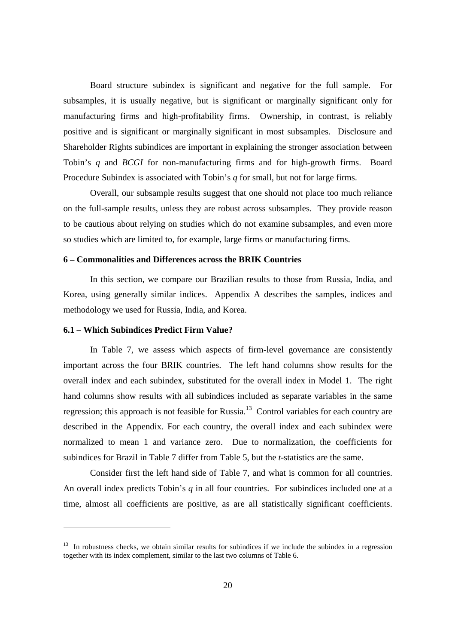Board structure subindex is significant and negative for the full sample. For subsamples, it is usually negative, but is significant or marginally significant only for manufacturing firms and high-profitability firms. Ownership, in contrast, is reliably positive and is significant or marginally significant in most subsamples. Disclosure and Shareholder Rights subindices are important in explaining the stronger association between Tobin's *q* and *BCGI* for non-manufacturing firms and for high-growth firms. Board Procedure Subindex is associated with Tobin's *q* for small, but not for large firms.

Overall, our subsample results suggest that one should not place too much reliance on the full-sample results, unless they are robust across subsamples. They provide reason to be cautious about relying on studies which do not examine subsamples, and even more so studies which are limited to, for example, large firms or manufacturing firms.

#### **6 – Commonalities and Differences across the BRIK Countries**

In this section, we compare our Brazilian results to those from Russia, India, and Korea, using generally similar indices. Appendix A describes the samples, indices and methodology we used for Russia, India, and Korea.

#### **6.1 – Which Subindices Predict Firm Value?**

-

In Table 7, we assess which aspects of firm-level governance are consistently important across the four BRIK countries. The left hand columns show results for the overall index and each subindex, substituted for the overall index in Model 1. The right hand columns show results with all subindices included as separate variables in the same regression; this approach is not feasible for Russia.<sup>13</sup> Control variables for each country are described in the Appendix. For each country, the overall index and each subindex were normalized to mean 1 and variance zero. Due to normalization, the coefficients for subindices for Brazil in Table 7 differ from Table 5, but the *t*-statistics are the same.

Consider first the left hand side of Table 7, and what is common for all countries. An overall index predicts Tobin's *q* in all four countries. For subindices included one at a time, almost all coefficients are positive, as are all statistically significant coefficients.

<sup>&</sup>lt;sup>13</sup> In robustness checks, we obtain similar results for subindices if we include the subindex in a regression together with its index complement, similar to the last two columns of Table 6.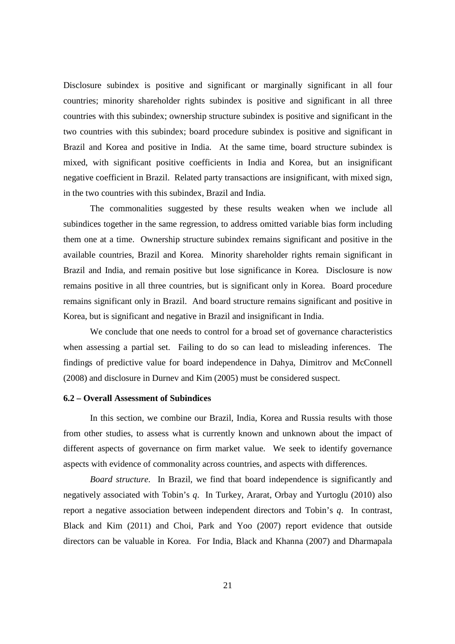Disclosure subindex is positive and significant or marginally significant in all four countries; minority shareholder rights subindex is positive and significant in all three countries with this subindex; ownership structure subindex is positive and significant in the two countries with this subindex; board procedure subindex is positive and significant in Brazil and Korea and positive in India. At the same time, board structure subindex is mixed, with significant positive coefficients in India and Korea, but an insignificant negative coefficient in Brazil. Related party transactions are insignificant, with mixed sign, in the two countries with this subindex, Brazil and India.

The commonalities suggested by these results weaken when we include all subindices together in the same regression, to address omitted variable bias form including them one at a time. Ownership structure subindex remains significant and positive in the available countries, Brazil and Korea. Minority shareholder rights remain significant in Brazil and India, and remain positive but lose significance in Korea. Disclosure is now remains positive in all three countries, but is significant only in Korea. Board procedure remains significant only in Brazil. And board structure remains significant and positive in Korea, but is significant and negative in Brazil and insignificant in India.

We conclude that one needs to control for a broad set of governance characteristics when assessing a partial set. Failing to do so can lead to misleading inferences. The findings of predictive value for board independence in Dahya, Dimitrov and McConnell (2008) and disclosure in Durnev and Kim (2005) must be considered suspect.

# **6.2 – Overall Assessment of Subindices**

In this section, we combine our Brazil, India, Korea and Russia results with those from other studies, to assess what is currently known and unknown about the impact of different aspects of governance on firm market value. We seek to identify governance aspects with evidence of commonality across countries, and aspects with differences.

*Board structure*. In Brazil, we find that board independence is significantly and negatively associated with Tobin's *q*. In Turkey, Ararat, Orbay and Yurtoglu (2010) also report a negative association between independent directors and Tobin's *q*. In contrast, Black and Kim (2011) and Choi, Park and Yoo (2007) report evidence that outside directors can be valuable in Korea. For India, Black and Khanna (2007) and Dharmapala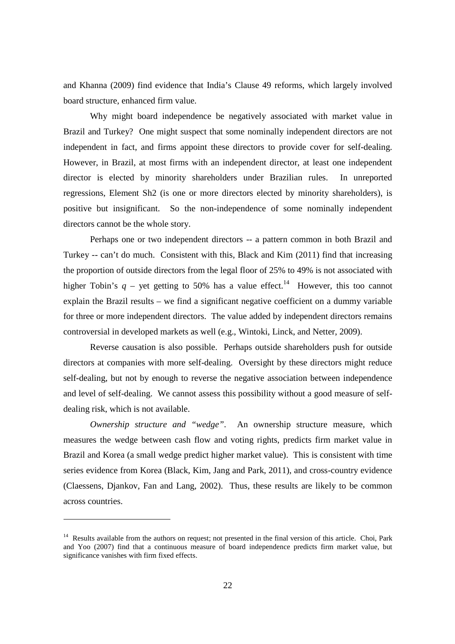and Khanna (2009) find evidence that India's Clause 49 reforms, which largely involved board structure, enhanced firm value.

Why might board independence be negatively associated with market value in Brazil and Turkey? One might suspect that some nominally independent directors are not independent in fact, and firms appoint these directors to provide cover for self-dealing. However, in Brazil, at most firms with an independent director, at least one independent director is elected by minority shareholders under Brazilian rules. In unreported regressions, Element Sh2 (is one or more directors elected by minority shareholders), is positive but insignificant. So the non-independence of some nominally independent directors cannot be the whole story.

Perhaps one or two independent directors -- a pattern common in both Brazil and Turkey -- can't do much. Consistent with this, Black and Kim (2011) find that increasing the proportion of outside directors from the legal floor of 25% to 49% is not associated with higher Tobin's  $q$  – yet getting to 50% has a value effect.<sup>14</sup> However, this too cannot explain the Brazil results – we find a significant negative coefficient on a dummy variable for three or more independent directors. The value added by independent directors remains controversial in developed markets as well (e.g., Wintoki, Linck, and Netter, 2009).

Reverse causation is also possible. Perhaps outside shareholders push for outside directors at companies with more self-dealing. Oversight by these directors might reduce self-dealing, but not by enough to reverse the negative association between independence and level of self-dealing. We cannot assess this possibility without a good measure of selfdealing risk, which is not available.

*Ownership structure and "wedge"*. An ownership structure measure, which measures the wedge between cash flow and voting rights, predicts firm market value in Brazil and Korea (a small wedge predict higher market value). This is consistent with time series evidence from Korea (Black, Kim, Jang and Park, 2011), and cross-country evidence (Claessens, Djankov, Fan and Lang, 2002). Thus, these results are likely to be common across countries.

 $14$  Results available from the authors on request; not presented in the final version of this article. Choi, Park and Yoo (2007) find that a continuous measure of board independence predicts firm market value, but significance vanishes with firm fixed effects.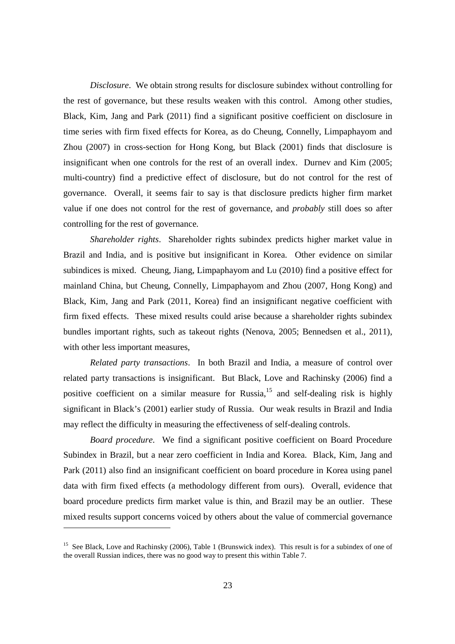*Disclosure*. We obtain strong results for disclosure subindex without controlling for the rest of governance, but these results weaken with this control. Among other studies, Black, Kim, Jang and Park (2011) find a significant positive coefficient on disclosure in time series with firm fixed effects for Korea, as do Cheung, Connelly, Limpaphayom and Zhou (2007) in cross-section for Hong Kong, but Black (2001) finds that disclosure is insignificant when one controls for the rest of an overall index. Durnev and Kim (2005; multi-country) find a predictive effect of disclosure, but do not control for the rest of governance. Overall, it seems fair to say is that disclosure predicts higher firm market value if one does not control for the rest of governance, and *probably* still does so after controlling for the rest of governance.

*Shareholder rights*. Shareholder rights subindex predicts higher market value in Brazil and India, and is positive but insignificant in Korea. Other evidence on similar subindices is mixed. Cheung, Jiang, Limpaphayom and Lu (2010) find a positive effect for mainland China, but Cheung, Connelly, Limpaphayom and Zhou (2007, Hong Kong) and Black, Kim, Jang and Park (2011, Korea) find an insignificant negative coefficient with firm fixed effects. These mixed results could arise because a shareholder rights subindex bundles important rights, such as takeout rights (Nenova, 2005; Bennedsen et al., 2011), with other less important measures,

*Related party transactions*. In both Brazil and India, a measure of control over related party transactions is insignificant. But Black, Love and Rachinsky (2006) find a positive coefficient on a similar measure for Russia,<sup>15</sup> and self-dealing risk is highly significant in Black's (2001) earlier study of Russia. Our weak results in Brazil and India may reflect the difficulty in measuring the effectiveness of self-dealing controls.

*Board procedure*. We find a significant positive coefficient on Board Procedure Subindex in Brazil, but a near zero coefficient in India and Korea. Black, Kim, Jang and Park (2011) also find an insignificant coefficient on board procedure in Korea using panel data with firm fixed effects (a methodology different from ours). Overall, evidence that board procedure predicts firm market value is thin, and Brazil may be an outlier. These mixed results support concerns voiced by others about the value of commercial governance

<sup>&</sup>lt;sup>15</sup> See Black, Love and Rachinsky (2006), Table 1 (Brunswick index). This result is for a subindex of one of the overall Russian indices, there was no good way to present this within Table 7.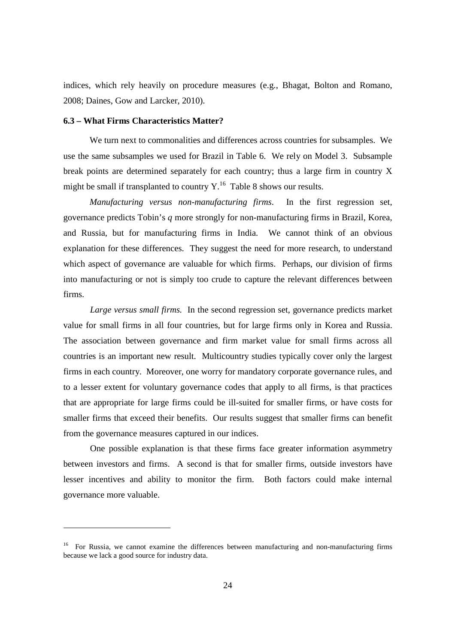indices, which rely heavily on procedure measures (e.g., Bhagat, Bolton and Romano, 2008; Daines, Gow and Larcker, 2010).

#### **6.3 – What Firms Characteristics Matter?**

-

We turn next to commonalities and differences across countries for subsamples. We use the same subsamples we used for Brazil in Table 6. We rely on Model 3. Subsample break points are determined separately for each country; thus a large firm in country X might be small if transplanted to country  $Y<sup>16</sup>$ . Table 8 shows our results.

*Manufacturing versus non-manufacturing firms*. In the first regression set, governance predicts Tobin's *q* more strongly for non-manufacturing firms in Brazil, Korea, and Russia, but for manufacturing firms in India. We cannot think of an obvious explanation for these differences. They suggest the need for more research, to understand which aspect of governance are valuable for which firms. Perhaps, our division of firms into manufacturing or not is simply too crude to capture the relevant differences between firms.

*Large versus small firms.* In the second regression set, governance predicts market value for small firms in all four countries, but for large firms only in Korea and Russia. The association between governance and firm market value for small firms across all countries is an important new result. Multicountry studies typically cover only the largest firms in each country. Moreover, one worry for mandatory corporate governance rules, and to a lesser extent for voluntary governance codes that apply to all firms, is that practices that are appropriate for large firms could be ill-suited for smaller firms, or have costs for smaller firms that exceed their benefits. Our results suggest that smaller firms can benefit from the governance measures captured in our indices.

One possible explanation is that these firms face greater information asymmetry between investors and firms. A second is that for smaller firms, outside investors have lesser incentives and ability to monitor the firm. Both factors could make internal governance more valuable.

<sup>&</sup>lt;sup>16</sup> For Russia, we cannot examine the differences between manufacturing and non-manufacturing firms because we lack a good source for industry data.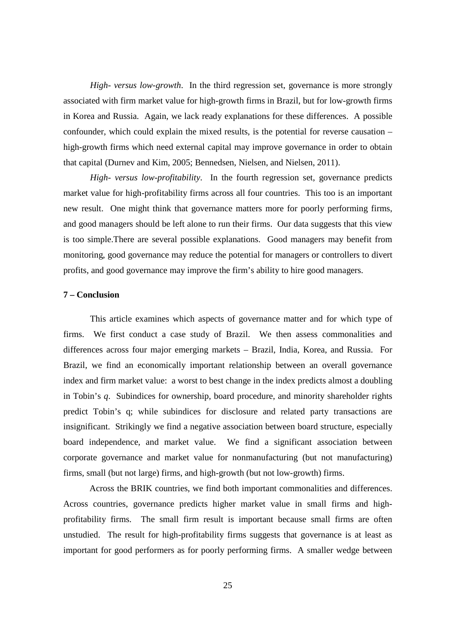*High- versus low-growth*. In the third regression set, governance is more strongly associated with firm market value for high-growth firms in Brazil, but for low-growth firms in Korea and Russia. Again, we lack ready explanations for these differences. A possible confounder, which could explain the mixed results, is the potential for reverse causation – high-growth firms which need external capital may improve governance in order to obtain that capital (Durnev and Kim, 2005; Bennedsen, Nielsen, and Nielsen, 2011).

*High- versus low-profitability*. In the fourth regression set, governance predicts market value for high-profitability firms across all four countries. This too is an important new result. One might think that governance matters more for poorly performing firms, and good managers should be left alone to run their firms. Our data suggests that this view is too simple.There are several possible explanations. Good managers may benefit from monitoring, good governance may reduce the potential for managers or controllers to divert profits, and good governance may improve the firm's ability to hire good managers.

## **7 – Conclusion**

This article examines which aspects of governance matter and for which type of firms. We first conduct a case study of Brazil. We then assess commonalities and differences across four major emerging markets – Brazil, India, Korea, and Russia. For Brazil, we find an economically important relationship between an overall governance index and firm market value: a worst to best change in the index predicts almost a doubling in Tobin's *q*. Subindices for ownership, board procedure, and minority shareholder rights predict Tobin's q; while subindices for disclosure and related party transactions are insignificant. Strikingly we find a negative association between board structure, especially board independence, and market value. We find a significant association between corporate governance and market value for nonmanufacturing (but not manufacturing) firms, small (but not large) firms, and high-growth (but not low-growth) firms.

Across the BRIK countries, we find both important commonalities and differences. Across countries, governance predicts higher market value in small firms and highprofitability firms. The small firm result is important because small firms are often unstudied. The result for high-profitability firms suggests that governance is at least as important for good performers as for poorly performing firms. A smaller wedge between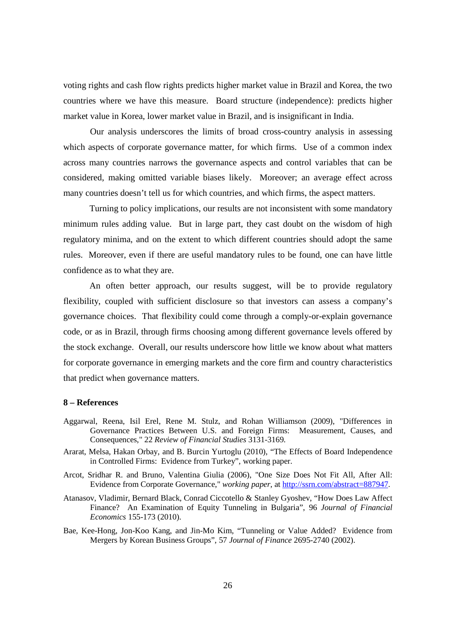voting rights and cash flow rights predicts higher market value in Brazil and Korea, the two countries where we have this measure. Board structure (independence): predicts higher market value in Korea, lower market value in Brazil, and is insignificant in India.

Our analysis underscores the limits of broad cross-country analysis in assessing which aspects of corporate governance matter, for which firms. Use of a common index across many countries narrows the governance aspects and control variables that can be considered, making omitted variable biases likely. Moreover; an average effect across many countries doesn't tell us for which countries, and which firms, the aspect matters.

Turning to policy implications, our results are not inconsistent with some mandatory minimum rules adding value. But in large part, they cast doubt on the wisdom of high regulatory minima, and on the extent to which different countries should adopt the same rules. Moreover, even if there are useful mandatory rules to be found, one can have little confidence as to what they are.

An often better approach, our results suggest, will be to provide regulatory flexibility, coupled with sufficient disclosure so that investors can assess a company's governance choices. That flexibility could come through a comply-or-explain governance code, or as in Brazil, through firms choosing among different governance levels offered by the stock exchange. Overall, our results underscore how little we know about what matters for corporate governance in emerging markets and the core firm and country characteristics that predict when governance matters.

### **8 – References**

- Aggarwal, Reena, Isil Erel, Rene M. Stulz, and Rohan Williamson (2009), "Differences in Governance Practices Between U.S. and Foreign Firms: Measurement, Causes, and Consequences," 22 *Review of Financial Studies* 3131-3169.
- Ararat, Melsa, Hakan Orbay, and B. Burcin Yurtoglu (2010), "The Effects of Board Independence in Controlled Firms: Evidence from Turkey", working paper.
- Arcot, Sridhar R. and Bruno, Valentina Giulia (2006), "One Size Does Not Fit All, After All: Evidence from Corporate Governance," *working paper*, at http://ssrn.com/abstract=887947.
- Atanasov, Vladimir, Bernard Black, Conrad Ciccotello & Stanley Gyoshev, "How Does Law Affect Finance? An Examination of Equity Tunneling in Bulgaria", 96 *Journal of Financial Economics* 155-173 (2010).
- Bae, Kee-Hong, Jon-Koo Kang, and Jin-Mo Kim, "Tunneling or Value Added? Evidence from Mergers by Korean Business Groups", 57 *Journal of Finance* 2695-2740 (2002).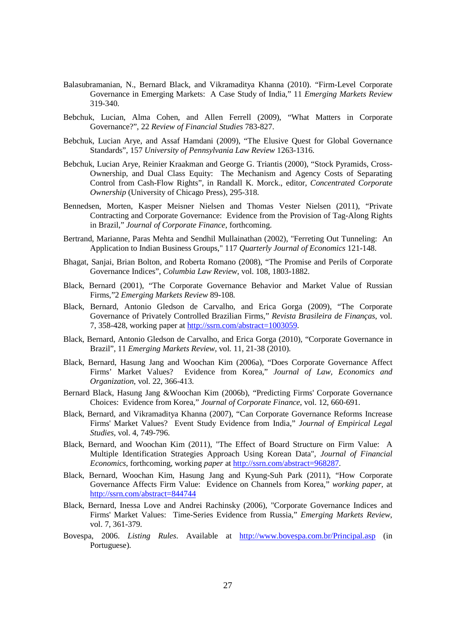- Balasubramanian, N., Bernard Black, and Vikramaditya Khanna (2010). "Firm-Level Corporate Governance in Emerging Markets: A Case Study of India," 11 *Emerging Markets Review* 319-340.
- Bebchuk, Lucian, Alma Cohen, and Allen Ferrell (2009), "What Matters in Corporate Governance?", 22 *Review of Financial Studies* 783-827.
- Bebchuk, Lucian Arye, and Assaf Hamdani (2009), "The Elusive Quest for Global Governance Standards", 157 *University of Pennsylvania Law Review* 1263-1316.
- Bebchuk, Lucian Arye, Reinier Kraakman and George G. Triantis (2000), "Stock Pyramids, Cross-Ownership, and Dual Class Equity: The Mechanism and Agency Costs of Separating Control from Cash-Flow Rights", in Randall K. Morck., editor, *Concentrated Corporate Ownership* (University of Chicago Press), 295-318.
- Bennedsen, Morten, Kasper Meisner Nielsen and Thomas Vester Nielsen (2011), "Private Contracting and Corporate Governance: Evidence from the Provision of Tag-Along Rights in Brazil," *Journal of Corporate Finance*, forthcoming.
- Bertrand, Marianne, Paras Mehta and Sendhil Mullainathan (2002), "Ferreting Out Tunneling: An Application to Indian Business Groups," 117 *Quarterly Journal of Economics* 121-148.
- Bhagat, Sanjai, Brian Bolton, and Roberta Romano (2008), "The Promise and Perils of Corporate Governance Indices", *Columbia Law Review*, vol. 108, 1803-1882.
- Black, Bernard (2001), "The Corporate Governance Behavior and Market Value of Russian Firms,"2 *Emerging Markets Review* 89-108.
- Black, Bernard, Antonio Gledson de Carvalho, and Erica Gorga (2009), "The Corporate Governance of Privately Controlled Brazilian Firms," *Revista Brasileira de Finanças*, vol. 7, 358-428, working paper at http://ssrn.com/abstract=1003059.
- Black, Bernard, Antonio Gledson de Carvalho, and Erica Gorga (2010), "Corporate Governance in Brazil", 11 *Emerging Markets Review*, vol. 11, 21-38 (2010).
- Black, Bernard, Hasung Jang and Woochan Kim (2006a), "Does Corporate Governance Affect Firms' Market Values? Evidence from Korea," *Journal of Law, Economics and Organization*, vol. 22, 366-413.
- Bernard Black, Hasung Jang &Woochan Kim (2006b), "Predicting Firms' Corporate Governance Choices: Evidence from Korea," *Journal of Corporate Finance*, vol. 12, 660-691.
- Black, Bernard, and Vikramaditya Khanna (2007), "Can Corporate Governance Reforms Increase Firms' Market Values? Event Study Evidence from India," *Journal of Empirical Legal Studies*, vol. 4, 749-796.
- Black, Bernard, and Woochan Kim (2011), "The Effect of Board Structure on Firm Value: A Multiple Identification Strategies Approach Using Korean Data", *Journal of Financial Economics*, forthcoming, working *paper* at http://ssrn.com/abstract=968287.
- Black, Bernard, Woochan Kim, Hasung Jang and Kyung-Suh Park (2011), "How Corporate Governance Affects Firm Value: Evidence on Channels from Korea," *working paper,* at http://ssrn.com/abstract=844744
- Black, Bernard, Inessa Love and Andrei Rachinsky (2006), "Corporate Governance Indices and Firms' Market Values: Time-Series Evidence from Russia," *Emerging Markets Review*, vol. 7, 361-379.
- Bovespa, 2006. *Listing Rules*. Available at http://www.bovespa.com.br/Principal.asp (in Portuguese).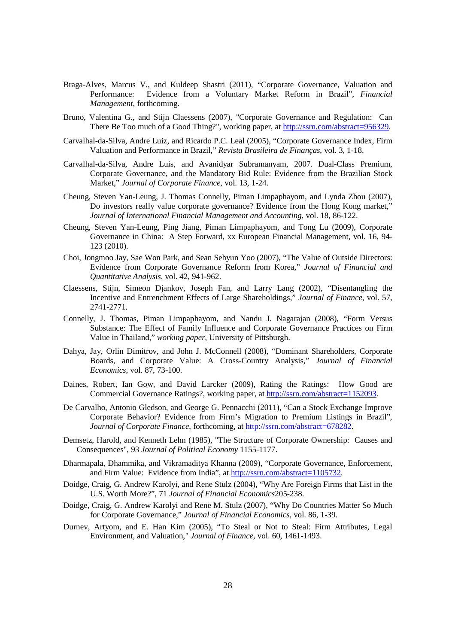- Braga-Alves, Marcus V., and Kuldeep Shastri (2011), "Corporate Governance, Valuation and Performance: Evidence from a Voluntary Market Reform in Brazil", *Financial Management*, forthcoming.
- Bruno, Valentina G., and Stijn Claessens (2007), "Corporate Governance and Regulation: Can There Be Too much of a Good Thing?", working paper, at http://ssrn.com/abstract=956329.
- Carvalhal-da-Silva, Andre Luiz, and Ricardo P.C. Leal (2005), "Corporate Governance Index, Firm Valuation and Performance in Brazil," *Revista Brasileira de Finanças*, vol. 3, 1-18.
- Carvalhal-da-Silva, Andre Luis, and Avanidyar Subramanyam, 2007. Dual-Class Premium, Corporate Governance, and the Mandatory Bid Rule: Evidence from the Brazilian Stock Market," *Journal of Corporate Finance*, vol. 13, 1-24.
- Cheung, Steven Yan-Leung, J. Thomas Connelly, Piman Limpaphayom, and Lynda Zhou (2007), Do investors really value corporate governance? Evidence from the Hong Kong market," *Journal of International Financial Management and Accounting*, vol. 18, 86-122.
- Cheung, Steven Yan-Leung, Ping Jiang, Piman Limpaphayom, and Tong Lu (2009), Corporate Governance in China: A Step Forward, xx European Financial Management, vol. 16, 94- 123 (2010).
- Choi, Jongmoo Jay, Sae Won Park, and Sean Sehyun Yoo (2007), "The Value of Outside Directors: Evidence from Corporate Governance Reform from Korea," *Journal of Financial and Quantitative Analysis*, vol. 42, 941-962.
- Claessens, Stijn, Simeon Djankov, Joseph Fan, and Larry Lang (2002), "Disentangling the Incentive and Entrenchment Effects of Large Shareholdings," *Journal of Finance*, vol. 57, 2741-2771.
- Connelly, J. Thomas, Piman Limpaphayom, and Nandu J. Nagarajan (2008), "Form Versus Substance: The Effect of Family Influence and Corporate Governance Practices on Firm Value in Thailand," *working paper*, University of Pittsburgh.
- Dahya, Jay, Orlin Dimitrov, and John J. McConnell (2008), "Dominant Shareholders, Corporate Boards, and Corporate Value: A Cross-Country Analysis," *Journal of Financial Economics*, vol. 87, 73-100.
- Daines, Robert, Ian Gow, and David Larcker (2009), Rating the Ratings: How Good are Commercial Governance Ratings?, working paper, at http://ssrn.com/abstract=1152093.
- De Carvalho, Antonio Gledson, and George G. Pennacchi (2011), "Can a Stock Exchange Improve Corporate Behavior? Evidence from Firm's Migration to Premium Listings in Brazil", *Journal of Corporate Finance*, forthcoming, at http://ssrn.com/abstract=678282.
- Demsetz, Harold, and Kenneth Lehn (1985), "The Structure of Corporate Ownership: Causes and Consequences", 93 *Journal of Political Economy* 1155-1177.
- Dharmapala, Dhammika, and Vikramaditya Khanna (2009), "Corporate Governance, Enforcement, and Firm Value: Evidence from India", at http://ssrn.com/abstract=1105732.
- Doidge, Craig, G. Andrew Karolyi, and Rene Stulz (2004), "Why Are Foreign Firms that List in the U.S. Worth More?", 71 *Journal of Financial Economics*205-238.
- Doidge, Craig, G. Andrew Karolyi and Rene M. Stulz (2007), "Why Do Countries Matter So Much for Corporate Governance," *Journal of Financial Economics*, vol. 86, 1-39.
- Durnev, Artyom, and E. Han Kim (2005), "To Steal or Not to Steal: Firm Attributes, Legal Environment, and Valuation," *Journal of Finance,* vol. 60, 1461-1493.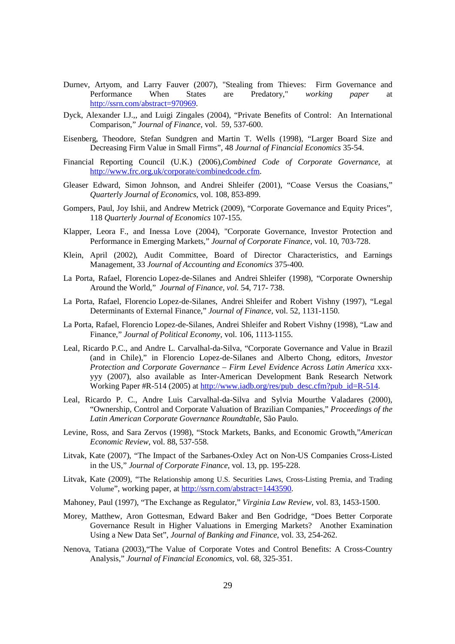- Durnev, Artyom, and Larry Fauver (2007), "Stealing from Thieves: Firm Governance and Performance When States are Predatory," *working paper* at http://ssrn.com/abstract=970969.
- Dyck, Alexander I.J.,, and Luigi Zingales (2004), "Private Benefits of Control: An International Comparison," *Journal of Finance*, vol. 59, 537-600.
- Eisenberg, Theodore, Stefan Sundgren and Martin T. Wells (1998), "Larger Board Size and Decreasing Firm Value in Small Firms", 48 *Journal of Financial Economics* 35-54.
- Financial Reporting Council (U.K.) (2006),*Combined Code of Corporate Governance*, at http://www.frc.org.uk/corporate/combinedcode.cfm.
- Gleaser Edward, Simon Johnson, and Andrei Shleifer (2001), "Coase Versus the Coasians," *Quarterly Journal of Economics*, vol. 108, 853-899.
- Gompers, Paul, Joy Ishii, and Andrew Metrick (2009), "Corporate Governance and Equity Prices", 118 *Quarterly Journal of Economics* 107-155.
- Klapper, Leora F., and Inessa Love (2004), "Corporate Governance, Investor Protection and Performance in Emerging Markets," *Journal of Corporate Finance,* vol. 10, 703-728.
- Klein, April (2002), Audit Committee, Board of Director Characteristics, and Earnings Management, 33 *Journal of Accounting and Economics* 375-400*.*
- La Porta, Rafael, Florencio Lopez-de-Silanes and Andrei Shleifer (1998), "Corporate Ownership Around the World," *Journal of Finance, vol.* 54, 717- 738.
- La Porta, Rafael, Florencio Lopez-de-Silanes, Andrei Shleifer and Robert Vishny (1997), "Legal Determinants of External Finance," *Journal of Finance*, vol. 52, 1131-1150.
- La Porta, Rafael, Florencio Lopez-de-Silanes, Andrei Shleifer and Robert Vishny (1998), "Law and Finance," *Journal of Political Economy*, vol. 106, 1113-1155.
- Leal, Ricardo P.C., and Andre L. Carvalhal-da-Silva, "Corporate Governance and Value in Brazil (and in Chile)," in Florencio Lopez-de-Silanes and Alberto Chong, editors, *Investor Protection and Corporate Governance – Firm Level Evidence Across Latin America* xxxyyy (2007), also available as Inter-American Development Bank Research Network Working Paper #R-514 (2005) at http://www.iadb.org/res/pub\_desc.cfm?pub\_id=R-514.
- Leal, Ricardo P. C., Andre Luis Carvalhal-da-Silva and Sylvia Mourthe Valadares (2000), "Ownership, Control and Corporate Valuation of Brazilian Companies," *Proceedings of the Latin American Corporate Governance Roundtable*, São Paulo.
- Levine, Ross, and Sara Zervos (1998), "Stock Markets, Banks, and Economic Growth,"*American Economic Review*, vol. 88, 537-558.
- Litvak, Kate (2007), "The Impact of the Sarbanes-Oxley Act on Non-US Companies Cross-Listed in the US," *Journal of Corporate Finance,* vol. 13, pp. 195-228.
- Litvak, Kate (2009), "The Relationship among U.S. Securities Laws, Cross-Listing Premia, and Trading Volume", working paper, at http://ssrn.com/abstract=1443590.
- Mahoney, Paul (1997), "The Exchange as Regulator," *Virginia Law Review*, vol. 83, 1453-1500.
- Morey, Matthew, Aron Gottesman, Edward Baker and Ben Godridge, "Does Better Corporate Governance Result in Higher Valuations in Emerging Markets? Another Examination Using a New Data Set", *Journal of Banking and Finance*, vol. 33, 254-262.
- Nenova, Tatiana (2003),"The Value of Corporate Votes and Control Benefits: A Cross-Country Analysis," *Journal of Financial Economics*, vol. 68, 325-351.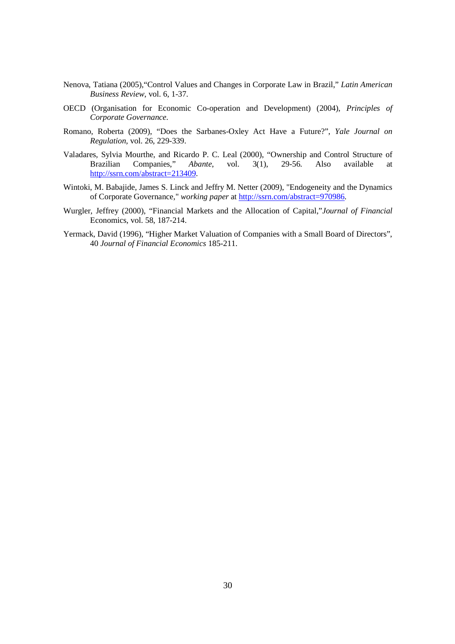- Nenova, Tatiana (2005),"Control Values and Changes in Corporate Law in Brazil," *Latin American Business Review*, vol. 6, 1-37.
- OECD (Organisation for Economic Co-operation and Development) (2004), *Principles of Corporate Governance*.
- Romano, Roberta (2009), "Does the Sarbanes-Oxley Act Have a Future?", *Yale Journal on Regulation*, vol. 26, 229-339.
- Valadares, Sylvia Mourthe, and Ricardo P. C. Leal (2000), "Ownership and Control Structure of Brazilian Companies," *Abante*, vol. 3(1), 29-56. Also available at http://ssrn.com/abstract=213409.
- Wintoki, M. Babajide, James S. Linck and Jeffry M. Netter (2009), "Endogeneity and the Dynamics of Corporate Governance," *working paper* at http://ssrn.com/abstract=970986.
- Wurgler, Jeffrey (2000), "Financial Markets and the Allocation of Capital,"*Journal of Financial*  Economics, vol. 58, 187-214.
- Yermack, David (1996), "Higher Market Valuation of Companies with a Small Board of Directors", 40 *Journal of Financial Economics* 185-211.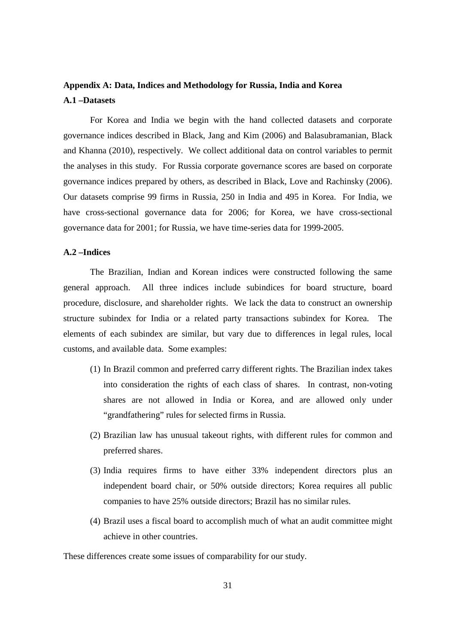# **Appendix A: Data, Indices and Methodology for Russia, India and Korea A.1 –Datasets**

For Korea and India we begin with the hand collected datasets and corporate governance indices described in Black, Jang and Kim (2006) and Balasubramanian, Black and Khanna (2010), respectively. We collect additional data on control variables to permit the analyses in this study. For Russia corporate governance scores are based on corporate governance indices prepared by others, as described in Black, Love and Rachinsky (2006). Our datasets comprise 99 firms in Russia, 250 in India and 495 in Korea. For India, we have cross-sectional governance data for 2006; for Korea, we have cross-sectional governance data for 2001; for Russia, we have time-series data for 1999-2005.

## **A.2 –Indices**

The Brazilian, Indian and Korean indices were constructed following the same general approach. All three indices include subindices for board structure, board procedure, disclosure, and shareholder rights. We lack the data to construct an ownership structure subindex for India or a related party transactions subindex for Korea. The elements of each subindex are similar, but vary due to differences in legal rules, local customs, and available data. Some examples:

- (1) In Brazil common and preferred carry different rights. The Brazilian index takes into consideration the rights of each class of shares. In contrast, non-voting shares are not allowed in India or Korea, and are allowed only under "grandfathering" rules for selected firms in Russia.
- (2) Brazilian law has unusual takeout rights, with different rules for common and preferred shares.
- (3) India requires firms to have either 33% independent directors plus an independent board chair, or 50% outside directors; Korea requires all public companies to have 25% outside directors; Brazil has no similar rules.
- (4) Brazil uses a fiscal board to accomplish much of what an audit committee might achieve in other countries.

These differences create some issues of comparability for our study.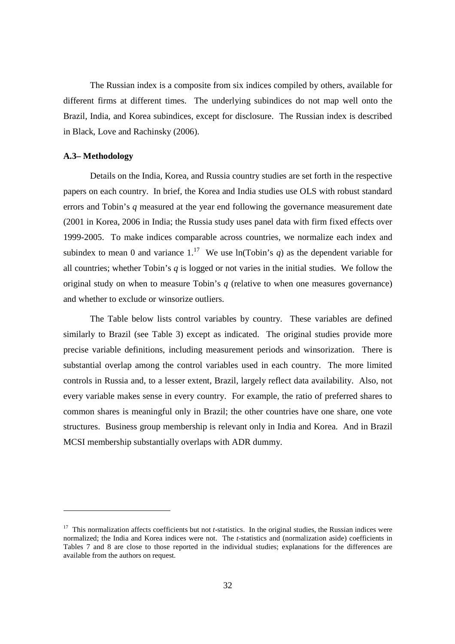The Russian index is a composite from six indices compiled by others, available for different firms at different times. The underlying subindices do not map well onto the Brazil, India, and Korea subindices, except for disclosure. The Russian index is described in Black, Love and Rachinsky (2006).

## **A.3– Methodology**

-

Details on the India, Korea, and Russia country studies are set forth in the respective papers on each country. In brief, the Korea and India studies use OLS with robust standard errors and Tobin's *q* measured at the year end following the governance measurement date (2001 in Korea, 2006 in India; the Russia study uses panel data with firm fixed effects over 1999-2005. To make indices comparable across countries, we normalize each index and subindex to mean 0 and variance  $1^{17}$ . We use ln(Tobin's *q*) as the dependent variable for all countries; whether Tobin's *q* is logged or not varies in the initial studies. We follow the original study on when to measure Tobin's *q* (relative to when one measures governance) and whether to exclude or winsorize outliers.

The Table below lists control variables by country. These variables are defined similarly to Brazil (see Table 3) except as indicated. The original studies provide more precise variable definitions, including measurement periods and winsorization. There is substantial overlap among the control variables used in each country. The more limited controls in Russia and, to a lesser extent, Brazil, largely reflect data availability. Also, not every variable makes sense in every country. For example, the ratio of preferred shares to common shares is meaningful only in Brazil; the other countries have one share, one vote structures. Business group membership is relevant only in India and Korea. And in Brazil MCSI membership substantially overlaps with ADR dummy.

<sup>&</sup>lt;sup>17</sup> This normalization affects coefficients but not *t*-statistics. In the original studies, the Russian indices were normalized; the India and Korea indices were not. The *t*-statistics and (normalization aside) coefficients in Tables 7 and 8 are close to those reported in the individual studies; explanations for the differences are available from the authors on request.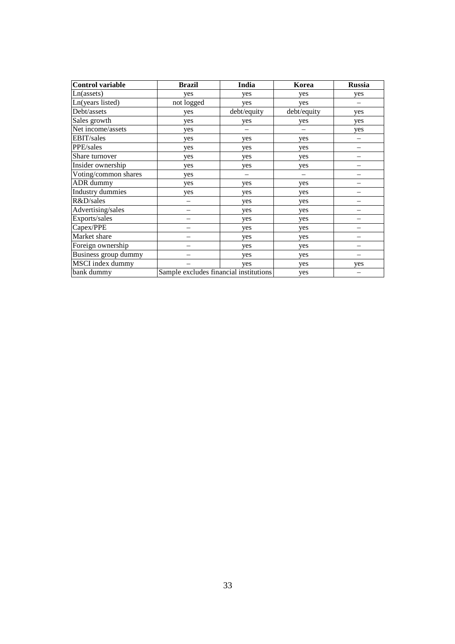| <b>Control variable</b> | <b>Brazil</b><br>India                 |             | Korea       | <b>Russia</b>            |
|-------------------------|----------------------------------------|-------------|-------------|--------------------------|
| Ln(asserts)             | yes                                    | yes         | yes         | yes                      |
| Ln(years listed)        | not logged                             | yes         | yes         |                          |
| Debt/assets             | yes                                    | debt/equity | debt/equity | yes                      |
| Sales growth            | yes                                    | yes         | yes         | yes                      |
| Net income/assets       | yes                                    |             |             | yes                      |
| <b>EBIT/sales</b>       | yes                                    | yes         | yes         | $\overline{\phantom{0}}$ |
| PPE/sales               | yes                                    | yes         | yes         |                          |
| Share turnover          | yes                                    | yes         | yes         |                          |
| Insider ownership       | yes                                    | yes         | yes         | $\overline{\phantom{0}}$ |
| Voting/common shares    | yes                                    |             |             |                          |
| ADR dummy               | yes                                    | yes         | yes         |                          |
| <b>Industry dummies</b> | yes                                    | yes         | yes         |                          |
| R&D/sales               |                                        | yes         | yes         |                          |
| Advertising/sales       |                                        | yes         | yes         |                          |
| Exports/sales           |                                        | yes         | yes         |                          |
| Capex/PPE               |                                        | yes         | yes         |                          |
| Market share            |                                        | yes         | yes         |                          |
| Foreign ownership       |                                        | yes         | yes         |                          |
| Business group dummy    |                                        | yes         | yes         |                          |
| MSCI index dummy        |                                        | yes         | yes         | yes                      |
| bank dummy              | Sample excludes financial institutions |             | yes         |                          |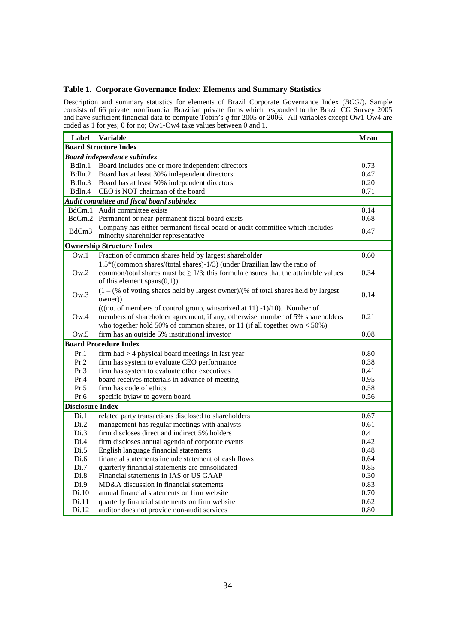#### **Table 1. Corporate Governance Index: Elements and Summary Statistics**

Description and summary statistics for elements of Brazil Corporate Governance Index (*BCGI*). Sample consists of 66 private, nonfinancial Brazilian private firms which responded to the Brazil CG Survey 2005 and have sufficient financial data to compute Tobin's *q* for 2005 or 2006. All variables except Ow1-Ow4 are coded as 1 for yes; 0 for no; Ow1-Ow4 take values between 0 and 1.

| Label                           | <b>Variable</b>                                                                                        | <b>Mean</b> |  |  |
|---------------------------------|--------------------------------------------------------------------------------------------------------|-------------|--|--|
|                                 | <b>Board Structure Index</b>                                                                           |             |  |  |
|                                 | <b>Board independence subindex</b>                                                                     |             |  |  |
| BdIn.1                          | Board includes one or more independent directors                                                       | 0.73        |  |  |
| BdIn.2                          | Board has at least 30% independent directors                                                           | 0.47        |  |  |
| BdIn.3                          | Board has at least 50% independent directors                                                           | 0.20        |  |  |
| BdIn.4                          | CEO is NOT chairman of the board                                                                       | 0.71        |  |  |
|                                 | Audit committee and fiscal board subindex                                                              |             |  |  |
|                                 | BdCm.1 Audit committee exists                                                                          | 0.14        |  |  |
|                                 | BdCm.2 Permanent or near-permanent fiscal board exists                                                 | 0.68        |  |  |
| BdCm3                           | Company has either permanent fiscal board or audit committee which includes                            | 0.47        |  |  |
|                                 | minority shareholder representative                                                                    |             |  |  |
|                                 | <b>Ownership Structure Index</b>                                                                       |             |  |  |
| Ow.1                            | Fraction of common shares held by largest shareholder                                                  | 0.60        |  |  |
|                                 | 1.5*((common shares/(total shares)-1/3) (under Brazilian law the ratio of                              |             |  |  |
| Qw.2                            | common/total shares must be $\geq 1/3$ ; this formula ensures that the attainable values               | 0.34        |  |  |
| of this element spans $(0,1)$ ) |                                                                                                        |             |  |  |
| Qw.3                            | $(1 - (\% \text{ of voting shares held by largest owner})/(\% \text{ of total shares held by largest}$ | 0.14        |  |  |
|                                 | owner)                                                                                                 |             |  |  |
|                                 | $(((no. of members of control group, winsorized at 11) -1)/10)$ . Number of                            |             |  |  |
| Ow.4                            | members of shareholder agreement, if any; otherwise, number of 5% shareholders                         | 0.21        |  |  |
|                                 | who together hold 50% of common shares, or 11 (if all together own $<$ 50%)                            |             |  |  |
| Ow.5                            | firm has an outside 5% institutional investor                                                          | 0.08        |  |  |
|                                 | <b>Board Procedure Index</b>                                                                           |             |  |  |
| Pr.1                            | firm $had > 4$ physical board meetings in last year                                                    | 0.80        |  |  |
| Pr.2                            | firm has system to evaluate CEO performance                                                            | 0.38        |  |  |
| Pr.3                            | firm has system to evaluate other executives                                                           | 0.41        |  |  |
| Pr.4                            | board receives materials in advance of meeting                                                         | 0.95        |  |  |
| Pr.5                            | firm has code of ethics                                                                                | 0.58        |  |  |
| Pr.6                            | specific bylaw to govern board                                                                         | 0.56        |  |  |
| <b>Disclosure Index</b>         |                                                                                                        |             |  |  |
| Di.1                            | related party transactions disclosed to shareholders                                                   | 0.67        |  |  |
| Di.2                            | management has regular meetings with analysts                                                          | 0.61        |  |  |
| Di.3                            | firm discloses direct and indirect 5% holders                                                          | 0.41        |  |  |
| Di.4                            | firm discloses annual agenda of corporate events                                                       | 0.42        |  |  |
| Di.5                            | English language financial statements                                                                  | 0.48        |  |  |
| Di.6                            | financial statements include statement of cash flows                                                   | 0.64        |  |  |
| Di.7                            | quarterly financial statements are consolidated                                                        | 0.85        |  |  |
| Di.8                            | Financial statements in IAS or US GAAP                                                                 | 0.30        |  |  |
| Di.9                            | MD&A discussion in financial statements                                                                | 0.83        |  |  |
| Di.10                           | annual financial statements on firm website                                                            | 0.70        |  |  |
| Di.11                           | quarterly financial statements on firm website                                                         | 0.62        |  |  |
| Di.12                           | auditor does not provide non-audit services                                                            | 0.80        |  |  |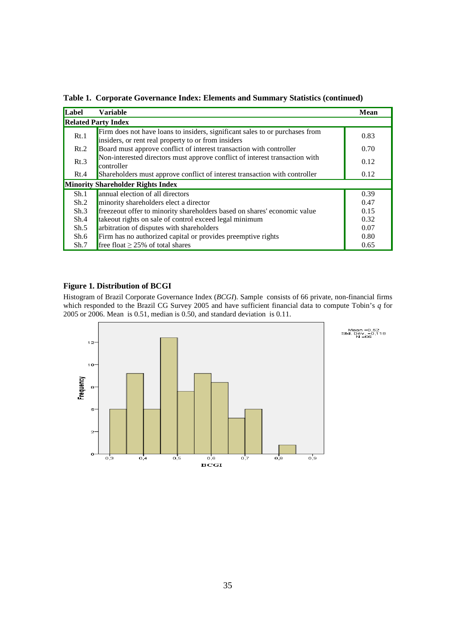| Label | <b>Variable</b>                                                                                                                     | Mean |
|-------|-------------------------------------------------------------------------------------------------------------------------------------|------|
|       | <b>Related Party Index</b>                                                                                                          |      |
| Rt.1  | Firm does not have loans to insiders, significant sales to or purchases from<br>insiders, or rent real property to or from insiders | 0.83 |
| Rt.2  | Board must approve conflict of interest transaction with controller                                                                 | 0.70 |
| Rt.3  | Non-interested directors must approve conflict of interest transaction with<br>controller                                           | 0.12 |
| Rt.4  | Shareholders must approve conflict of interest transaction with controller                                                          | 0.12 |
|       | <b>Minority Shareholder Rights Index</b>                                                                                            |      |
| Sh.1  | annual election of all directors                                                                                                    | 0.39 |
| Sh.2  | minority shareholders elect a director                                                                                              | 0.47 |
| Sh.3  | freezeout offer to minority shareholders based on shares' economic value                                                            | 0.15 |
| Sh.4  | takeout rights on sale of control exceed legal minimum                                                                              | 0.32 |
| Sh.5  | arbitration of disputes with shareholders                                                                                           | 0.07 |
| Sh.6  | Firm has no authorized capital or provides preemptive rights                                                                        | 0.80 |
| Sh.7  | free float $\geq$ 25% of total shares                                                                                               | 0.65 |

**Table 1. Corporate Governance Index: Elements and Summary Statistics (continued)**

## **Figure 1. Distribution of BCGI**

Histogram of Brazil Corporate Governance Index (*BCGI*). Sample consists of 66 private, non-financial firms which responded to the Brazil CG Survey 2005 and have sufficient financial data to compute Tobin's *q* for 2005 or 2006. Mean is 0.51, median is 0.50, and standard deviation is 0.11.

Mean = 0,52<br>Std. Dev. = 0,118<br>N = 66



35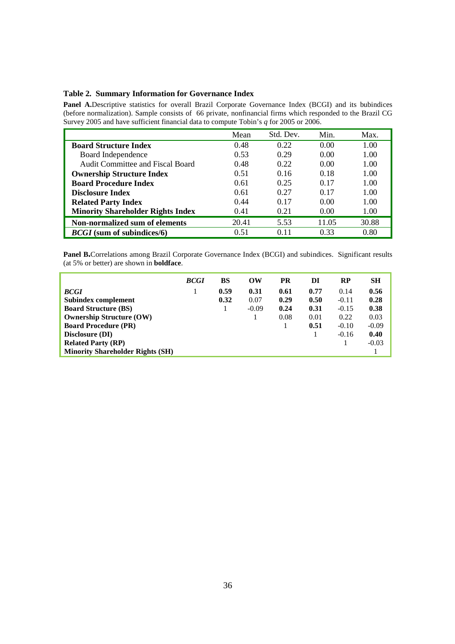#### **Table 2. Summary Information for Governance Index**

Panel A.Descriptive statistics for overall Brazil Corporate Governance Index (BCGI) and its bubindices (before normalization). Sample consists of 66 private, nonfinancial firms which responded to the Brazil CG Survey 2005 and have sufficient financial data to compute Tobin's *q* for 2005 or 2006.

|                                          | Mean  | Std. Dev. | Min.  | Max.  |
|------------------------------------------|-------|-----------|-------|-------|
| <b>Board Structure Index</b>             | 0.48  | 0.22      | 0.00  | 1.00  |
| Board Independence                       | 0.53  | 0.29      | 0.00  | 1.00  |
| <b>Audit Committee and Fiscal Board</b>  | 0.48  | 0.22      | 0.00  | 1.00  |
| <b>Ownership Structure Index</b>         | 0.51  | 0.16      | 0.18  | 1.00  |
| <b>Board Procedure Index</b>             | 0.61  | 0.25      | 0.17  | 1.00  |
| Disclosure Index                         | 0.61  | 0.27      | 0.17  | 1.00  |
| <b>Related Party Index</b>               | 0.44  | 0.17      | 0.00  | 1.00  |
| <b>Minority Shareholder Rights Index</b> | 0.41  | 0.21      | 0.00  | 1.00  |
| Non-normalized sum of elements           | 20.41 | 5.53      | 11.05 | 30.88 |
| <i>BCGI</i> (sum of subindices/6)        | 0.51  | 011       | 0.33  | 0.80  |

**Panel B.**Correlations among Brazil Corporate Governance Index (BCGI) and subindices. Significant results (at 5% or better) are shown in **boldface**.

|                                         | <b>BCGI</b> | BS   | $\alpha$ | PR   | DI   | <b>RP</b> | <b>SH</b> |
|-----------------------------------------|-------------|------|----------|------|------|-----------|-----------|
| <b>BCGI</b>                             |             | 0.59 | 0.31     | 0.61 | 0.77 | 0.14      | 0.56      |
| <b>Subindex complement</b>              |             | 0.32 | 0.07     | 0.29 | 0.50 | $-0.11$   | 0.28      |
| <b>Board Structure (BS)</b>             |             |      | $-0.09$  | 0.24 | 0.31 | $-0.15$   | 0.38      |
| <b>Ownership Structure (OW)</b>         |             |      |          | 0.08 | 0.01 | 0.22      | 0.03      |
| <b>Board Procedure (PR)</b>             |             |      |          |      | 0.51 | $-0.10$   | $-0.09$   |
| Disclosure (DI)                         |             |      |          |      |      | $-0.16$   | 0.40      |
| <b>Related Party (RP)</b>               |             |      |          |      |      |           | $-0.03$   |
| <b>Minority Shareholder Rights (SH)</b> |             |      |          |      |      |           |           |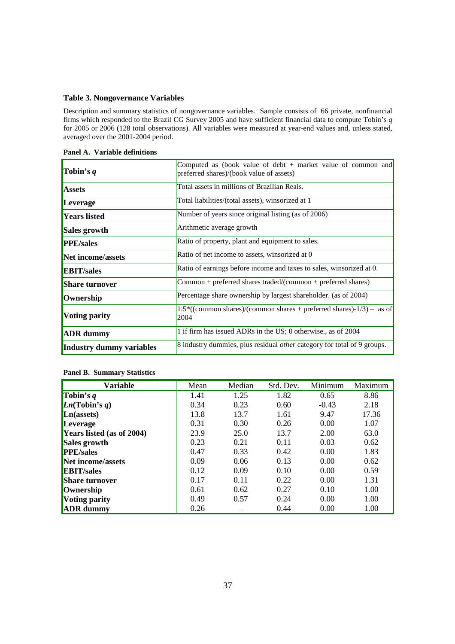#### **Table 3. Nongovernance Variables**

Description and summary statistics of nongovernance variables. Sample consists of 66 private, nonfinancial firms which responded to the Brazil CG Survey 2005 and have sufficient financial data to compute Tobin's *q* for 2005 or 2006 (128 total observations). All variables were measured at year-end values and, unless stated, averaged over the 2001-2004 period.

| Tobin's q                | Computed as (book value of debt $+$ market value of common and<br>preferred shares)/(book value of assets) |
|--------------------------|------------------------------------------------------------------------------------------------------------|
| <b>Assets</b>            | Total assets in millions of Brazilian Reais.                                                               |
| Leverage                 | Total liabilities/(total assets), winsorized at 1                                                          |
| <b>Years listed</b>      | Number of years since original listing (as of 2006)                                                        |
| Sales growth             | Arithmetic average growth                                                                                  |
| <b>PPE/sales</b>         | Ratio of property, plant and equipment to sales.                                                           |
| Net income/assets        | Ratio of net income to assets, winsorized at 0                                                             |
| <b>EBIT/sales</b>        | Ratio of earnings before income and taxes to sales, winsorized at 0.                                       |
| <b>Share turnover</b>    | Common + preferred shares traded/(common + preferred shares)                                               |
| Ownership                | Percentage share ownership by largest shareholder. (as of 2004)                                            |
| <b>Voting parity</b>     | $1.5^*((common\ shares)/(common\ shares + preferred\ shares) - 1/3) - as\ of$<br>2004                      |
| <b>ADR</b> dummy         | 1 if firm has issued ADRs in the US; 0 otherwise., as of 2004                                              |
| Industry dummy variables | 8 industry dummies, plus residual <i>other</i> category for total of 9 groups.                             |

|  | <b>Panel B. Summary Statistics</b> |  |
|--|------------------------------------|--|
|--|------------------------------------|--|

| <b>Variable</b>                  | Mean | Median | Std. Dev. | Minimum | Maximum |
|----------------------------------|------|--------|-----------|---------|---------|
| <b>Tobin's</b> q                 | 1.41 | 1.25   | 1.82      | 0.65    | 8.86    |
| Ln(Tobin's q)                    | 0.34 | 0.23   | 0.60      | $-0.43$ | 2.18    |
| Ln(asserts)                      | 13.8 | 13.7   | 1.61      | 9.47    | 17.36   |
| Leverage                         | 0.31 | 0.30   | 0.26      | 0.00    | 1.07    |
| <b>Years listed (as of 2004)</b> | 23.9 | 25.0   | 13.7      | 2.00    | 63.0    |
| Sales growth                     | 0.23 | 0.21   | 0.11      | 0.03    | 0.62    |
| <b>PPE</b> /sales                | 0.47 | 0.33   | 0.42      | 0.00    | 1.83    |
| Net income/assets                | 0.09 | 0.06   | 0.13      | 0.00    | 0.62    |
| <b>EBIT/sales</b>                | 0.12 | 0.09   | 0.10      | 0.00    | 0.59    |
| <b>Share turnover</b>            | 0.17 | 0.11   | 0.22      | 0.00    | 1.31    |
| <b>Ownership</b>                 | 0.61 | 0.62   | 0.27      | 0.10    | 1.00    |
| <b>Voting parity</b>             | 0.49 | 0.57   | 0.24      | 0.00    | 1.00    |
| <b>ADR</b> dummy                 | 0.26 |        | 0.44      | 0.00    | 1.00    |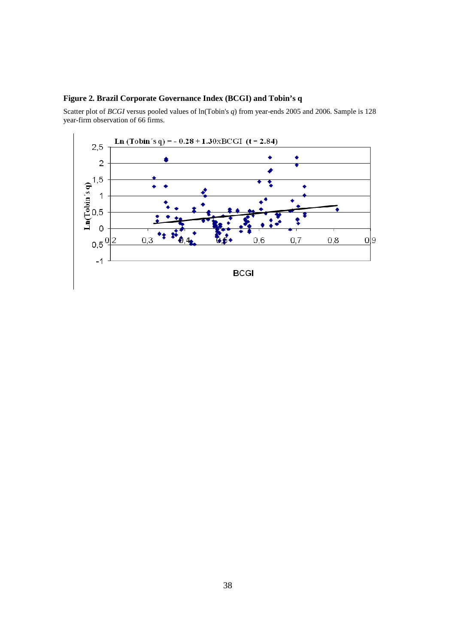# **Figure 2. Brazil Corporate Governance Index (BCGI) and Tobin's q**

Scatter plot of *BCGI* versus pooled values of ln(Tobin's *q*) from year-ends 2005 and 2006. Sample is 128 year-firm observation of 66 firms.

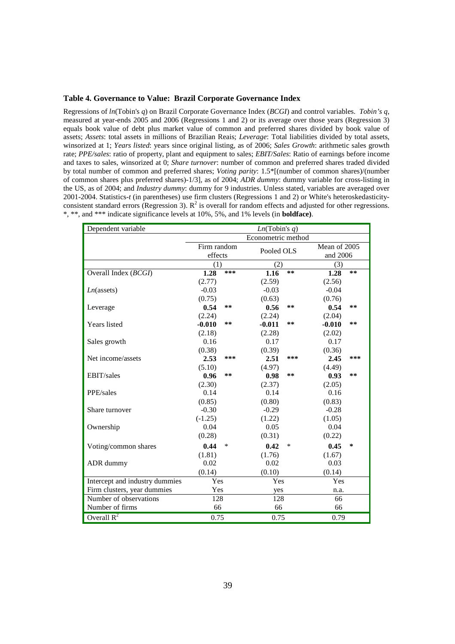#### **Table 4. Governance to Value: Brazil Corporate Governance Index**

Regressions of *ln*(Tobin's *q*) on Brazil Corporate Governance Index (*BCGI*) and control variables. *Tobin's q*, measured at year-ends 2005 and 2006 (Regressions 1 and 2) or its average over those years (Regression 3) equals book value of debt plus market value of common and preferred shares divided by book value of assets; *Assets*: total assets in millions of Brazilian Reais; *Leverage*: Total liabilities divided by total assets, winsorized at 1; *Years listed*: years since original listing, as of 2006; *Sales Growth*: arithmetic sales growth rate; *PPE/sales*: ratio of property, plant and equipment to sales; *EBIT/Sales*: Ratio of earnings before income and taxes to sales, winsorized at 0; *Share turnover*: number of common and preferred shares traded divided by total number of common and preferred shares; *Voting parity*: 1.5\*[(number of common shares)/(number of common shares plus preferred shares)-1/3], as of 2004; *ADR dummy*: dummy variable for cross-listing in the US, as of 2004; and *Industry dummy*: dummy for 9 industries. Unless stated, variables are averaged over 2001-2004. Statistics-*t* (in parentheses) use firm clusters (Regressions 1 and 2) or White's heteroskedasticityconsistent standard errors (Regression 3).  $R^2$  is overall for random effects and adjusted for other regressions. \*, \*\*, and \*\*\* indicate significance levels at 10%, 5%, and 1% levels (in **boldface)**.

| Dependent variable             | Ln(Tobin's q)             |        |                    |        |                |          |  |
|--------------------------------|---------------------------|--------|--------------------|--------|----------------|----------|--|
|                                |                           |        | Econometric method |        |                |          |  |
|                                | Firm random<br>Pooled OLS |        |                    |        | Mean of $2005$ |          |  |
|                                | effects                   |        |                    |        |                | and 2006 |  |
|                                | (1)                       |        | (2)                |        | (3)            |          |  |
| Overall Index (BCGI)           | 1.28                      | ***    | 1.16               | **     | 1.28           | **       |  |
|                                | (2.77)                    |        | (2.59)             |        | (2.56)         |          |  |
| $Ln$ (assets)                  | $-0.03$                   |        | $-0.03$            |        | $-0.04$        |          |  |
|                                | (0.75)                    |        | (0.63)             |        | (0.76)         |          |  |
| Leverage                       | 0.54                      | **     | 0.56               | **     | 0.54           | **       |  |
|                                | (2.24)                    |        | (2.24)             |        | (2.04)         |          |  |
| <b>Years</b> listed            | $-0.010$                  | **     | $-0.011$           | **     | $-0.010$       | **       |  |
|                                | (2.18)                    |        | (2.28)             |        | (2.02)         |          |  |
| Sales growth                   | 0.16                      |        | 0.17               |        | 0.17           |          |  |
|                                | (0.38)                    |        | (0.39)             |        | (0.36)         |          |  |
| Net income/assets              | 2.53                      | ***    | 2.51               | ***    | 2.45           | ***      |  |
|                                | (5.10)                    |        | (4.97)             |        | (4.49)         |          |  |
| EBIT/sales                     | 0.96                      | **     | 0.98               | **     | 0.93           | **       |  |
|                                | (2.30)                    |        | (2.37)             |        | (2.05)         |          |  |
| PPE/sales                      | 0.14                      |        | 0.14               |        | 0.16           |          |  |
|                                | (0.85)                    |        | (0.80)             |        | (0.83)         |          |  |
| Share turnover                 | $-0.30$                   |        | $-0.29$            |        | $-0.28$        |          |  |
|                                | $(-1.25)$                 |        | (1.22)             |        | (1.05)         |          |  |
| Ownership                      | 0.04                      |        | 0.05               |        | 0.04           |          |  |
|                                | (0.28)                    |        | (0.31)             |        | (0.22)         |          |  |
| Voting/common shares           | 0.44                      | $\ast$ | 0.42               | $\ast$ | 0.45           | ∗        |  |
|                                | (1.81)                    |        | (1.76)             |        | (1.67)         |          |  |
| ADR dummy                      | 0.02                      |        | 0.02               |        | 0.03           |          |  |
|                                | (0.14)                    |        | (0.10)             |        | (0.14)         |          |  |
| Intercept and industry dummies | Yes                       |        | Yes                |        | Yes            |          |  |
| Firm clusters, year dummies    | Yes                       |        | yes                |        | n.a.           |          |  |
| Number of observations         | 128                       |        |                    | 128    |                |          |  |
| Number of firms                | 66                        |        |                    | 66     |                |          |  |
| Overall $R^2$                  | 0.75                      |        | 0.75               |        | 0.79           |          |  |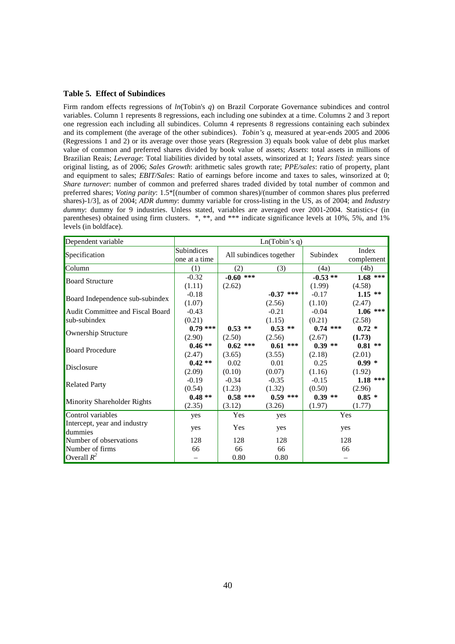#### **Table 5. Effect of Subindices**

Firm random effects regressions of *ln*(Tobin's *q*) on Brazil Corporate Governance subindices and control variables. Column 1 represents 8 regressions, each including one subindex at a time. Columns 2 and 3 report one regression each including all subindices. Column 4 represents 8 regressions containing each subindex and its complement (the average of the other subindices). *Tobin's q*, measured at year-ends 2005 and 2006 (Regressions 1 and 2) or its average over those years (Regression 3) equals book value of debt plus market value of common and preferred shares divided by book value of assets; *Assets*: total assets in millions of Brazilian Reais; *Leverage*: Total liabilities divided by total assets, winsorized at 1; *Years listed*: years since original listing, as of 2006; *Sales Growth*: arithmetic sales growth rate; *PPE/sales*: ratio of property, plant and equipment to sales; *EBIT/Sales*: Ratio of earnings before income and taxes to sales, winsorized at 0; *Share turnover*: number of common and preferred shares traded divided by total number of common and preferred shares; *Voting parity*: 1.5\*[(number of common shares)/(number of common shares plus preferred shares)-1/3], as of 2004; *ADR dummy*: dummy variable for cross-listing in the US, as of 2004; and *Industry dummy*: dummy for 9 industries. Unless stated, variables are averaged over 2001-2004. Statistics-*t* (in parentheses) obtained using firm clusters. \*, \*\*, and \*\*\* indicate significance levels at 10%, 5%, and 1% levels (in boldface).

| Dependent variable                      |               |                | Ln(Tobin's q)           |            |            |
|-----------------------------------------|---------------|----------------|-------------------------|------------|------------|
|                                         | Subindices    |                |                         |            | Index      |
| Specification                           | one at a time |                | All subindices together | Subindex   | complement |
| Column                                  | (1)           | (2)            | (3)                     | (4a)       | (4b)       |
|                                         | $-0.32$       | ***<br>$-0.60$ |                         | $-0.53**$  | $1.68$ *** |
| <b>Board Structure</b>                  | (1.11)        | (2.62)         |                         | (1.99)     | (4.58)     |
|                                         | $-0.18$       |                | $-0.37$ ***             | $-0.17$    | $1.15$ **  |
| Board Independence sub-subindex         | (1.07)        |                | (2.56)                  | (1.10)     | (2.47)     |
| <b>Audit Committee and Fiscal Board</b> | $-0.43$       |                | $-0.21$                 | $-0.04$    | $1.06$ *** |
| sub-subindex                            | (0.21)        |                | (1.15)                  | (0.21)     | (2.58)     |
|                                         | $0.79***$     | $0.53$ **      | $0.53$ **               | $0.74$ *** | $0.72*$    |
| <b>Ownership Structure</b>              | (2.90)        | (2.50)         | (2.56)                  | (2.67)     | (1.73)     |
|                                         | $0.46**$      | $0.62$ ***     | $0.61$ ***              | $0.39$ **  | $0.81**$   |
| <b>Board Procedure</b>                  | (2.47)        | (3.65)         | (3.55)                  | (2.18)     | (2.01)     |
|                                         | $0.42**$      | 0.02           | 0.01                    | 0.25       | $0.99*$    |
| Disclosure                              | (2.09)        | (0.10)         | (0.07)                  | (1.16)     | (1.92)     |
|                                         | $-0.19$       | $-0.34$        | $-0.35$                 | $-0.15$    | $1.18$ *** |
| <b>Related Party</b>                    | (0.54)        | (1.23)         | (1.32)                  | (0.50)     | (2.96)     |
|                                         | $0.48**$      | $0.58$ ***     | $0.59$ ***              | $0.39**$   | $0.85*$    |
| <b>Minority Shareholder Rights</b>      | (2.35)        | (3.12)         | (3.26)                  | (1.97)     | (1.77)     |
| Control variables                       | yes           | Yes            | yes                     | Yes        |            |
| Intercept, year and industry<br>dummies | yes           | Yes            | yes                     |            | yes        |
| Number of observations                  | 128           | 128            | 128                     |            | 128        |
| Number of firms                         | 66            | 66             | 66                      |            | 66         |
| Overall $R^2$                           |               | 0.80           | 0.80                    |            |            |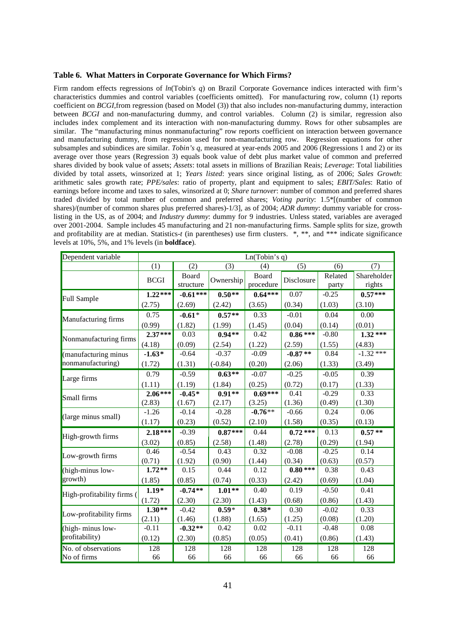#### **Table 6. What Matters in Corporate Governance for Which Firms?**

Firm random effects regressions of *ln*(Tobin's *q*) on Brazil Corporate Governance indices interacted with firm's characteristics dummies and control variables (coefficients omitted). For manufacturing row, column (1) reports coefficient on *BCGI*,from regression (based on Model (3)) that also includes non-manufacturing dummy, interaction between *BCGI* and non-manufacturing dummy, and control variables. Column (2) is similar, regression also includes index complement and its interaction with non-manufacturing dummy. Rows for other subsamples are similar. The "manufacturing minus nonmanufacturing" row reports coefficient on interaction between governance and manufacturing dummy, from regression used for non-manufacturing row. Regression equations for other subsamples and subindices are similar. *Tobin's q*, measured at year-ends 2005 and 2006 (Regressions 1 and 2) or its average over those years (Regression 3) equals book value of debt plus market value of common and preferred shares divided by book value of assets; *Assets*: total assets in millions of Brazilian Reais; *Leverage*: Total liabilities divided by total assets, winsorized at 1; *Years listed*: years since original listing, as of 2006; *Sales Growth*: arithmetic sales growth rate; *PPE/sales*: ratio of property, plant and equipment to sales; *EBIT/Sales*: Ratio of earnings before income and taxes to sales, winsorized at 0; *Share turnover*: number of common and preferred shares traded divided by total number of common and preferred shares; *Voting parity*: 1.5\*[(number of common shares)/(number of common shares plus preferred shares)-1/3], as of 2004; *ADR dummy*: dummy variable for crosslisting in the US, as of 2004; and *Industry dummy*: dummy for 9 industries. Unless stated, variables are averaged over 2001-2004. Sample includes 45 manufacturing and 21 non-manufacturing firms. Sample splits for size, growth and profitability are at median. Statistics-*t* (in parentheses) use firm clusters. \*, \*\*, and \*\*\* indicate significance levels at 10%, 5%, and 1% levels (in **boldface**).

| Dependent variable         | Ln(Tobin's q) |            |           |           |            |         |             |
|----------------------------|---------------|------------|-----------|-----------|------------|---------|-------------|
|                            | (1)           | (2)        | (3)       | (4)       | (5)        | (6)     | (7)         |
|                            | <b>BCGI</b>   | Board      | Ownership | Board     | Disclosure | Related | Shareholder |
|                            |               | structure  |           | procedure |            | party   | rights      |
| Full Sample                | $1.22***$     | $-0.61***$ | $0.50**$  | $0.64***$ | 0.07       | $-0.25$ | $0.57***$   |
|                            | (2.75)        | (2.69)     | (2.42)    | (3.65)    | (0.34)     | (1.03)  | (3.10)      |
| Manufacturing firms        | 0.75          | $-0.61*$   | $0.57**$  | 0.33      | $-0.01$    | 0.04    | 0.00        |
|                            | (0.99)        | (1.82)     | (1.99)    | (1.45)    | (0.04)     | (0.14)  | (0.01)      |
| Nonmanufacturing firms     | $2.37***$     | 0.03       | $0.94**$  | 0.42      | $0.86***$  | $-0.80$ | $1.32***$   |
|                            | (4.18)        | (0.09)     | (2.54)    | (1.22)    | (2.59)     | (1.55)  | (4.83)      |
| (manufacturing minus       | $-1.63*$      | $-0.64$    | $-0.37$   | $-0.09$   | $-0.87**$  | 0.84    | $-1.32***$  |
| nonmanufacturing)          | (1.72)        | (1.31)     | $(-0.84)$ | (0.20)    | (2.06)     | (1.33)  | (3.49)      |
| Large firms                | 0.79          | $-0.59$    | $0.63**$  | $-0.07$   | $-0.25$    | $-0.05$ | 0.39        |
|                            | (1.11)        | (1.19)     | (1.84)    | (0.25)    | (0.72)     | (0.17)  | (1.33)      |
| Small firms                | $2.06***$     | $-0.45*$   | $0.91**$  | $0.69***$ | 0.41       | $-0.29$ | 0.33        |
|                            | (2.83)        | (1.67)     | (2.17)    | (3.25)    | (1.36)     | (0.49)  | (1.30)      |
| (large minus small)        | $-1.26$       | $-0.14$    | $-0.28$   | $-0.76**$ | $-0.66$    | 0.24    | 0.06        |
|                            | (1.17)        | (0.23)     | (0.52)    | (2.10)    | (1.58)     | (0.35)  | (0.13)      |
| High-growth firms          | $2.18***$     | $-0.39$    | $0.87***$ | 0.44      | $0.72***$  | 0.13    | $0.57**$    |
|                            | (3.02)        | (0.85)     | (2.58)    | (1.48)    | (2.78)     | (0.29)  | (1.94)      |
| Low-growth firms           | 0.46          | $-0.54$    | 0.43      | 0.32      | $-0.08$    | $-0.25$ | 0.14        |
|                            | (0.71)        | (1.92)     | (0.90)    | (1.44)    | (0.34)     | (0.63)  | (0.57)      |
| (high-minus low-           | $1.72**$      | 0.15       | 0.44      | 0.12      | $0.80***$  | 0.38    | 0.43        |
| growth)                    | (1.85)        | (0.85)     | (0.74)    | (0.33)    | (2.42)     | (0.69)  | (1.04)      |
| High-profitability firms ( | $1.19*$       | $-0.74**$  | $1.01**$  | 0.40      | 0.19       | $-0.50$ | 0.41        |
|                            | (1.72)        | (2.30)     | (2.30)    | (1.43)    | (0.68)     | (0.86)  | (1.43)      |
| Low-profitability firms    | $1.30**$      | $-0.42$    | $0.59*$   | $0.38*$   | 0.30       | $-0.02$ | 0.33        |
|                            | (2.11)        | (1.46)     | (1.88)    | (1.65)    | (1.25)     | (0.08)  | (1.20)      |
| (high-minus low-           | $-0.11$       | $-0.32**$  | 0.42      | 0.02      | $-0.11$    | $-0.48$ | 0.08        |
| profitability)             | (0.12)        | (2.30)     | (0.85)    | (0.05)    | (0.41)     | (0.86)  | (1.43)      |
| No. of observations        | 128           | 128        | 128       | 128       | 128        | 128     | 128         |
| No of firms                | 66            | 66         | 66        | 66        | 66         | 66      | 66          |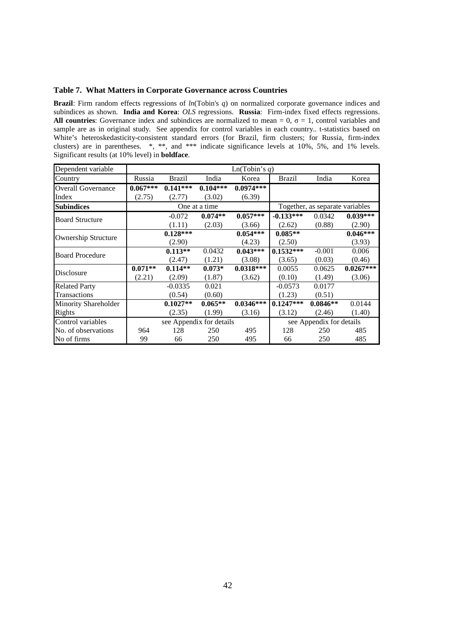#### **Table 7. What Matters in Corporate Governance across Countries**

**Brazil**: Firm random effects regressions of *ln*(Tobin's *q*) on normalized corporate governance indices and subindices as shown. **India and Korea**: *OLS* regressions. **Russia**: Firm-index fixed effects regressions. **All countries**: Governance index and subindices are normalized to mean =  $0$ ,  $\sigma = 1$ , control variables and sample are as in original study. See appendix for control variables in each country.. t-statistics based on White's heteroskedasticity-consistent standard errors (for Brazil, firm clusters; for Russia, firm-index clusters) are in parentheses. \*, \*\*, and \*\*\* indicate significance levels at 10%, 5%, and 1% levels. Significant results (at 10% level) in **boldface**.

| Dependent variable          | Ln(Tobin's q)            |               |               |                                 |               |            |             |  |
|-----------------------------|--------------------------|---------------|---------------|---------------------------------|---------------|------------|-------------|--|
| Country                     | Russia                   | <b>Brazil</b> | India         | Korea                           | <b>Brazil</b> | India      | Korea       |  |
| <b>Overall Governance</b>   | $0.067***$               | $0.141***$    | $0.104***$    | $0.0974***$                     |               |            |             |  |
| Index                       | (2.75)                   | (2.77)        | (3.02)        | (6.39)                          |               |            |             |  |
| <b>Subindices</b>           |                          |               | One at a time | Together, as separate variables |               |            |             |  |
| <b>Board Structure</b>      |                          | $-0.072$      | $0.074**$     | $0.057***$                      | $-0.133***$   | 0.0342     | $0.039***$  |  |
|                             |                          | (1.11)        | (2.03)        | (3.66)                          | (2.62)        | (0.88)     | (2.90)      |  |
| <b>Ownership Structure</b>  |                          | $0.128***$    |               | $0.054***$                      | $0.085**$     |            | $0.046***$  |  |
|                             |                          | (2.90)        |               | (4.23)                          | (2.50)        |            | (3.93)      |  |
| <b>Board Procedure</b>      |                          | $0.113**$     | 0.0432        | $0.043***$                      | $0.1532***$   | $-0.001$   | 0.006       |  |
|                             |                          | (2.47)        | (1.21)        | (3.08)                          | (3.65)        | (0.03)     | (0.46)      |  |
| Disclosure                  | $0.071**$                | $0.114**$     | $0.073*$      | $0.0318***$                     | 0.0055        | 0.0625     | $0.0267***$ |  |
|                             | (2.21)                   | (2.09)        | (1.87)        | (3.62)                          | (0.10)        | (1.49)     | (3.06)      |  |
| <b>Related Party</b>        |                          | $-0.0335$     | 0.021         |                                 | $-0.0573$     | 0.0177     |             |  |
| Transactions                |                          | (0.54)        | (0.60)        |                                 | (1.23)        | (0.51)     |             |  |
| <b>Minority Shareholder</b> |                          | $0.1027**$    | $0.065**$     | $0.0346***$                     | $0.1247***$   | $0.0846**$ | 0.0144      |  |
| Rights                      |                          | (2.35)        | (1.99)        | (3.16)                          | (3.12)        | (2.46)     | (1.40)      |  |
| Control variables           | see Appendix for details |               |               | see Appendix for details        |               |            |             |  |
| No. of observations         | 964                      | 128           | 250           | 495                             | 128           | 250        | 485         |  |
| No of firms                 | 99                       | 66            | 250           | 495                             | 66            | 250        | 485         |  |